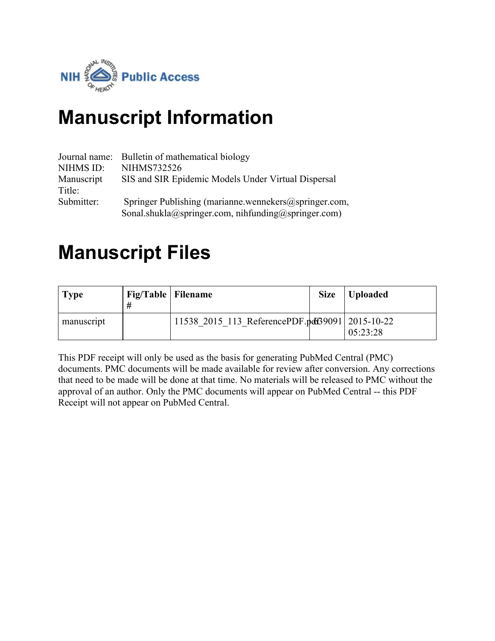

# **Manuscript Information**

|                      | Journal name: Bulletin of mathematical biology                                                               |
|----------------------|--------------------------------------------------------------------------------------------------------------|
| NIHMS ID:            | NIHMS732526                                                                                                  |
| Manuscript<br>Title: | SIS and SIR Epidemic Models Under Virtual Dispersal                                                          |
| Submitter:           | Springer Publishing (marianne.wennekers@springer.com,<br>Sonal.shukla@springer.com, nihfunding@springer.com) |

# **Manuscript Files**

| <b>Type</b> | Fig/Table   Filename |                                                 | <b>Size</b> | Uploaded |
|-------------|----------------------|-------------------------------------------------|-------------|----------|
| manuscript  |                      | 11538 2015 113 ReferencePDF.pdf39091 2015-10-22 |             | 05:23:28 |

This PDF receipt will only be used as the basis for generating PubMed Central (PMC) documents. PMC documents will be made available for review after conversion. Any corrections that need to be made will be done at that time. No materials will be released to PMC without the approval of an author. Only the PMC documents will appear on PubMed Central -- this PDF Receipt will not appear on PubMed Central.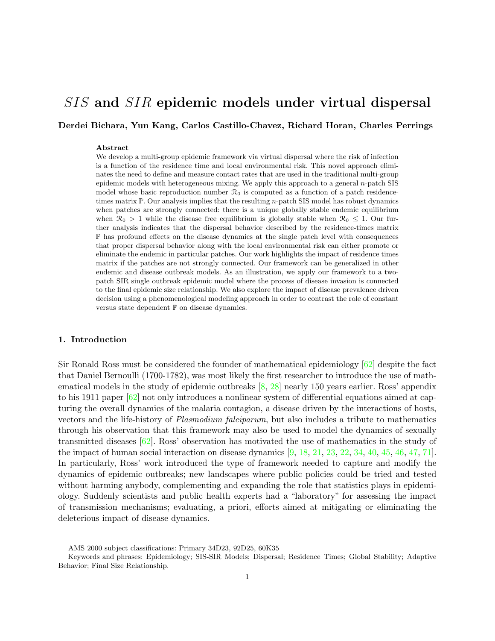# SIS and SIR epidemic models under virtual dispersal

Derdei Bichara, Yun Kang, Carlos Castillo-Chavez, Richard Horan, Charles Perrings

#### Abstract

We develop a multi-group epidemic framework via virtual dispersal where the risk of infection is a function of the residence time and local environmental risk. This novel approach eliminates the need to define and measure contact rates that are used in the traditional multi-group epidemic models with heterogeneous mixing. We apply this approach to a general n-patch SIS model whose basic reproduction number  $\mathcal{R}_0$  is computed as a function of a patch residencetimes matrix  $\mathbb{P}$ . Our analysis implies that the resulting *n*-patch SIS model has robust dynamics when patches are strongly connected: there is a unique globally stable endemic equilibrium when  $\mathcal{R}_0 > 1$  while the disease free equilibrium is globally stable when  $\mathcal{R}_0 \leq 1$ . Our further analysis indicates that the dispersal behavior described by the residence-times matrix P has profound effects on the disease dynamics at the single patch level with consequences that proper dispersal behavior along with the local environmental risk can either promote or eliminate the endemic in particular patches. Our work highlights the impact of residence times matrix if the patches are not strongly connected. Our framework can be generalized in other endemic and disease outbreak models. As an illustration, we apply our framework to a twopatch SIR single outbreak epidemic model where the process of disease invasion is connected to the final epidemic size relationship. We also explore the impact of disease prevalence driven decision using a phenomenological modeling approach in order to contrast the role of constant versus state dependent  $\mathbb P$  on disease dynamics.

#### 1. Introduction

Sir Ronald Ross must be considered the founder of mathematical epidemiology [\[62\]](#page-25-0) despite the fact that Daniel Bernoulli (1700-1782), was most likely the first researcher to introduce the use of mathematical models in the study of epidemic outbreaks [\[8,](#page-22-0) [28\]](#page-24-0) nearly 150 years earlier. Ross' appendix to his 1911 paper [\[62\]](#page-25-0) not only introduces a nonlinear system of differential equations aimed at capturing the overall dynamics of the malaria contagion, a disease driven by the interactions of hosts, vectors and the life-history of Plasmodium falciparum, but also includes a tribute to mathematics through his observation that this framework may also be used to model the dynamics of sexually transmitted diseases [\[62\]](#page-25-0). Ross' observation has motivated the use of mathematics in the study of the impact of human social interaction on disease dynamics [\[9,](#page-22-1) [18,](#page-23-0) [21,](#page-23-1) [23,](#page-23-2) [22,](#page-23-3) [34,](#page-24-1) [40,](#page-24-2) [45,](#page-24-3) [46,](#page-24-4) [47,](#page-24-5) [71\]](#page-26-0). In particularly, Ross' work introduced the type of framework needed to capture and modify the dynamics of epidemic outbreaks; new landscapes where public policies could be tried and tested without harming anybody, complementing and expanding the role that statistics plays in epidemiology. Suddenly scientists and public health experts had a "laboratory" for assessing the impact of transmission mechanisms; evaluating, a priori, efforts aimed at mitigating or eliminating the deleterious impact of disease dynamics.

AMS 2000 subject classifications: Primary 34D23, 92D25, 60K35

Keywords and phrases: Epidemiology; SIS-SIR Models; Dispersal; Residence Times; Global Stability; Adaptive Behavior; Final Size Relationship.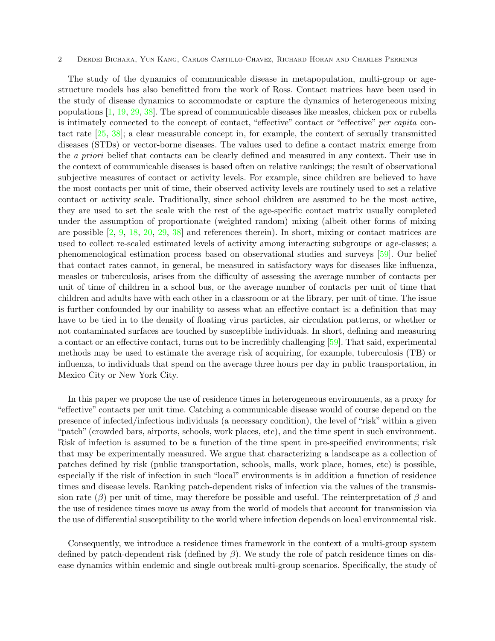The study of the dynamics of communicable disease in metapopulation, multi-group or agestructure models has also benefitted from the work of Ross. Contact matrices have been used in the study of disease dynamics to accommodate or capture the dynamics of heterogeneous mixing populations [\[1,](#page-22-2) [19,](#page-23-4) [29,](#page-24-6) [38\]](#page-24-7). The spread of communicable diseases like measles, chicken pox or rubella is intimately connected to the concept of contact, "effective" contact or "effective" per capita contact rate [\[25,](#page-23-5) [38\]](#page-24-7); a clear measurable concept in, for example, the context of sexually transmitted diseases (STDs) or vector-borne diseases. The values used to define a contact matrix emerge from the a priori belief that contacts can be clearly defined and measured in any context. Their use in the context of communicable diseases is based often on relative rankings; the result of observational subjective measures of contact or activity levels. For example, since children are believed to have the most contacts per unit of time, their observed activity levels are routinely used to set a relative contact or activity scale. Traditionally, since school children are assumed to be the most active, they are used to set the scale with the rest of the age-specific contact matrix usually completed under the assumption of proportionate (weighted random) mixing (albeit other forms of mixing are possible [\[2,](#page-22-3) [9,](#page-22-1) [18,](#page-23-0) [20,](#page-23-6) [29,](#page-24-6) [38\]](#page-24-7) and references therein). In short, mixing or contact matrices are used to collect re-scaled estimated levels of activity among interacting subgroups or age-classes; a phenomenological estimation process based on observational studies and surveys [\[59\]](#page-25-1). Our belief that contact rates cannot, in general, be measured in satisfactory ways for diseases like influenza, measles or tuberculosis, arises from the difficulty of assessing the average number of contacts per unit of time of children in a school bus, or the average number of contacts per unit of time that children and adults have with each other in a classroom or at the library, per unit of time. The issue is further confounded by our inability to assess what an effective contact is: a definition that may have to be tied in to the density of floating virus particles, air circulation patterns, or whether or not contaminated surfaces are touched by susceptible individuals. In short, defining and measuring a contact or an effective contact, turns out to be incredibly challenging [\[59\]](#page-25-1). That said, experimental methods may be used to estimate the average risk of acquiring, for example, tuberculosis (TB) or influenza, to individuals that spend on the average three hours per day in public transportation, in Mexico City or New York City.

In this paper we propose the use of residence times in heterogeneous environments, as a proxy for "effective" contacts per unit time. Catching a communicable disease would of course depend on the presence of infected/infectious individuals (a necessary condition), the level of "risk" within a given "patch" (crowded bars, airports, schools, work places, etc), and the time spent in such environment. Risk of infection is assumed to be a function of the time spent in pre-specified environments; risk that may be experimentally measured. We argue that characterizing a landscape as a collection of patches defined by risk (public transportation, schools, malls, work place, homes, etc) is possible, especially if the risk of infection in such "local" environments is in addition a function of residence times and disease levels. Ranking patch-dependent risks of infection via the values of the transmission rate  $(\beta)$  per unit of time, may therefore be possible and useful. The reinterpretation of  $\beta$  and the use of residence times move us away from the world of models that account for transmission via the use of differential susceptibility to the world where infection depends on local environmental risk.

Consequently, we introduce a residence times framework in the context of a multi-group system defined by patch-dependent risk (defined by  $\beta$ ). We study the role of patch residence times on disease dynamics within endemic and single outbreak multi-group scenarios. Specifically, the study of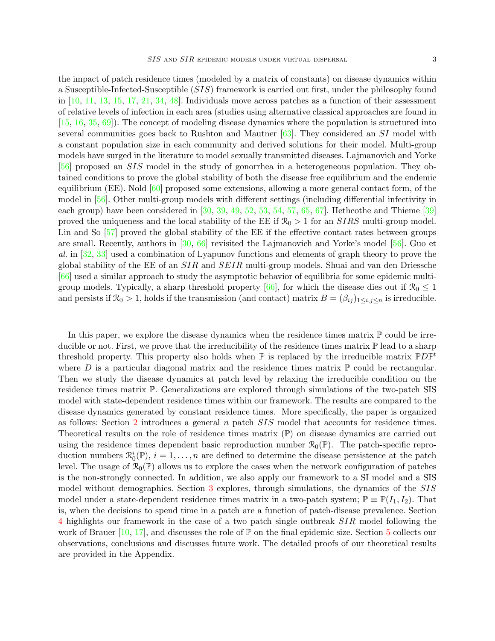the impact of patch residence times (modeled by a matrix of constants) on disease dynamics within a Susceptible-Infected-Susceptible (SIS) framework is carried out first, under the philosophy found in  $[10, 11, 13, 15, 17, 21, 34, 48]$  $[10, 11, 13, 15, 17, 21, 34, 48]$  $[10, 11, 13, 15, 17, 21, 34, 48]$  $[10, 11, 13, 15, 17, 21, 34, 48]$  $[10, 11, 13, 15, 17, 21, 34, 48]$  $[10, 11, 13, 15, 17, 21, 34, 48]$  $[10, 11, 13, 15, 17, 21, 34, 48]$  $[10, 11, 13, 15, 17, 21, 34, 48]$  $[10, 11, 13, 15, 17, 21, 34, 48]$  $[10, 11, 13, 15, 17, 21, 34, 48]$  $[10, 11, 13, 15, 17, 21, 34, 48]$  $[10, 11, 13, 15, 17, 21, 34, 48]$  $[10, 11, 13, 15, 17, 21, 34, 48]$  $[10, 11, 13, 15, 17, 21, 34, 48]$  $[10, 11, 13, 15, 17, 21, 34, 48]$ . Individuals move across patches as a function of their assessment of relative levels of infection in each area (studies using alternative classical approaches are found in [\[15,](#page-23-10) [16,](#page-23-12) [35,](#page-24-8) [69\]](#page-26-1)). The concept of modeling disease dynamics where the population is structured into several communities goes back to Rushton and Mautner  $[63]$ . They considered an SI model with a constant population size in each community and derived solutions for their model. Multi-group models have surged in the literature to model sexually transmitted diseases. Lajmanovich and Yorke [\[56\]](#page-25-4) proposed an SIS model in the study of gonorrhea in a heterogeneous population. They obtained conditions to prove the global stability of both the disease free equilibrium and the endemic equilibrium (EE). Nold  $[60]$  proposed some extensions, allowing a more general contact form, of the model in [\[56\]](#page-25-4). Other multi-group models with different settings (including differential infectivity in each group) have been considered in [\[30,](#page-24-9) [39,](#page-24-10) [49,](#page-25-6) [52,](#page-25-7) [53,](#page-25-8) [54,](#page-25-9) [57,](#page-25-10) [65,](#page-25-11) [67\]](#page-25-12). Hethcothe and Thieme [\[39\]](#page-24-10) proved the uniqueness and the local stability of the EE if  $\mathcal{R}_0 > 1$  for an *SIRS* multi-group model. Lin and So [\[57\]](#page-25-10) proved the global stability of the EE if the effective contact rates between groups are small. Recently, authors in [\[30,](#page-24-9) [66\]](#page-25-13) revisited the Lajmanovich and Yorke's model [\[56\]](#page-25-4). Guo et al. in [\[32,](#page-24-11) [33\]](#page-24-12) used a combination of Lyapunov functions and elements of graph theory to prove the global stability of the EE of an  $SIR$  and  $SEIR$  multi-group models. Shuai and van den Driessche [\[66\]](#page-25-13) used a similar approach to study the asymptotic behavior of equilibria for some epidemic multi-group models. Typically, a sharp threshold property [\[66\]](#page-25-13), for which the disease dies out if  $\mathcal{R}_0 \leq 1$ and persists if  $\mathcal{R}_0 > 1$ , holds if the transmission (and contact) matrix  $B = (\beta_{ij})_{1 \le i,j \le n}$  is irreducible.

In this paper, we explore the disease dynamics when the residence times matrix  $\mathbb P$  could be irreducible or not. First, we prove that the irreducibility of the residence times matrix  $\mathbb P$  lead to a sharp threshold property. This property also holds when  $\mathbb P$  is replaced by the irreducible matrix  $\mathbb P D\mathbb P^t$ where D is a particular diagonal matrix and the residence times matrix  $\mathbb P$  could be rectangular. Then we study the disease dynamics at patch level by relaxing the irreducible condition on the residence times matrix P. Generalizations are explored through simulations of the two-patch SIS model with state-dependent residence times within our framework. The results are compared to the disease dynamics generated by constant residence times. More specifically, the paper is organized as follows: Section [2](#page-4-0) introduces a general n patch SIS model that accounts for residence times. Theoretical results on the role of residence times matrix (P) on disease dynamics are carried out using the residence times dependent basic reproduction number  $\mathcal{R}_0(\mathbb{P})$ . The patch-specific reproduction numbers  $\mathcal{R}_0^i(\mathbb{P}), i = 1, \ldots, n$  are defined to determine the disease persistence at the patch level. The usage of  $\mathcal{R}_0(\mathbb{P})$  allows us to explore the cases when the network configuration of patches is the non-strongly connected. In addition, we also apply our framework to a SI model and a SIS model without demographics. Section [3](#page-10-0) explores, through simulations, the dynamics of the SIS model under a state-dependent residence times matrix in a two-patch system;  $\mathbb{P} \equiv \mathbb{P}(I_1, I_2)$ . That is, when the decisions to spend time in a patch are a function of patch-disease prevalence. Section [4](#page-16-0) highlights our framework in the case of a two patch single outbreak SIR model following the work of Brauer  $[10, 17]$  $[10, 17]$  $[10, 17]$ , and discusses the role of P on the final epidemic size. Section [5](#page-18-0) collects our observations, conclusions and discusses future work. The detailed proofs of our theoretical results are provided in the Appendix.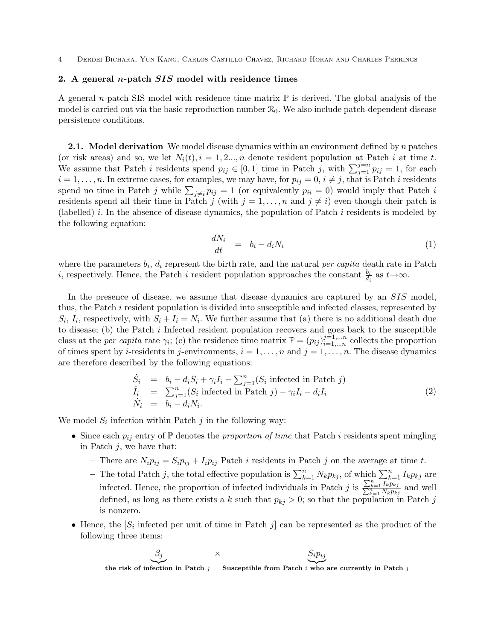# <span id="page-4-0"></span>2. A general *n*-patch  $SIS$  model with residence times

A general n-patch SIS model with residence time matrix  $\mathbb P$  is derived. The global analysis of the model is carried out via the basic reproduction number  $\mathcal{R}_0$ . We also include patch-dependent disease persistence conditions.

**2.1.** Model derivation We model disease dynamics within an environment defined by n patches (or risk areas) and so, we let  $N_i(t)$ ,  $i = 1, 2, ..., n$  denote resident population at Patch i at time t. We assume that Patch i residents spend  $p_{ij} \in [0,1]$  time in Patch j, with  $\sum_{j=1}^{j=n} p_{ij} = 1$ , for each  $i = 1, \ldots, n$ . In extreme cases, for examples, we may have, for  $p_{ij} = 0, i \neq j$ , that is Patch i residents spend no time in Patch j while  $\sum_{j\neq i} p_{ij} = 1$  (or equivalently  $p_{ii} = 0$ ) would imply that Patch i residents spend all their time in Patch j (with  $j = 1, \ldots, n$  and  $j \neq i$ ) even though their patch is (labelled) i. In the absence of disease dynamics, the population of Patch i residents is modeled by the following equation:

$$
\frac{dN_i}{dt} = b_i - d_i N_i \tag{1}
$$

where the parameters  $b_i$ ,  $d_i$  represent the birth rate, and the natural *per capita* death rate in Patch i, respectively. Hence, the Patch i resident population approaches the constant  $\frac{b_i}{d_i}$  as  $t\rightarrow\infty$ .

In the presence of disease, we assume that disease dynamics are captured by an SIS model, thus, the Patch i resident population is divided into susceptible and infected classes, represented by  $S_i$ ,  $I_i$ , respectively, with  $S_i + I_i = N_i$ . We further assume that (a) there is no additional death due to disease; (b) the Patch i Infected resident population recovers and goes back to the susceptible class at the *per capita* rate  $\gamma_i$ ; (c) the residence time matrix  $\mathbb{P} = (p_{ij})_{i=1,\dots,n}^{j=1,\dots,n}$  collects the proportion of times spent by *i*-residents in *j*-environments,  $i = 1, \ldots, n$  and  $j = 1, \ldots, n$ . The disease dynamics are therefore described by the following equations:

<span id="page-4-1"></span>
$$
\dot{S}_i = b_i - d_i S_i + \gamma_i I_i - \sum_{j=1}^n (S_i \text{ infected in } \text{Patch } j) \n\dot{I}_i = \sum_{j=1}^n (S_i \text{ infected in } \text{Patch } j) - \gamma_i I_i - d_i I_i \n\dot{N}_i = b_i - d_i N_i.
$$
\n(2)

We model  $S_i$  infection within Patch  $j$  in the following way:

- Since each  $p_{ij}$  entry of  $\mathbb P$  denotes the proportion of time that Patch i residents spent mingling in Patch  $i$ , we have that:
	- There are  $N_i p_{ij} = S_i p_{ij} + I_i p_{ij}$  Patch i residents in Patch j on the average at time t.
	- The total Patch j, the total effective population is  $\sum_{k=1}^{n} N_k p_{kj}$ , of which  $\sum_{k=1}^{n} I_k p_{kj}$  are infected. Hence, the proportion of infected individuals in Patch j is  $\frac{\sum_{k=1}^{n} I_k p_{kj}}{\sum_{k=1}^{n} N_k p_{kj}}$  and well defined, as long as there exists a k such that  $p_{kj} > 0$ ; so that the population in Patch j is nonzero.
- Hence, the  $[S_i]$  infected per unit of time in Patch j can be represented as the product of the following three items:

$$
\underbrace{\beta_j}_{\text{the risk of infection in Patch } j} \times \underbrace{S_i p_{ij}}_{\text{Susceptible from Patch } i \text{ who are currently in Patch } j}
$$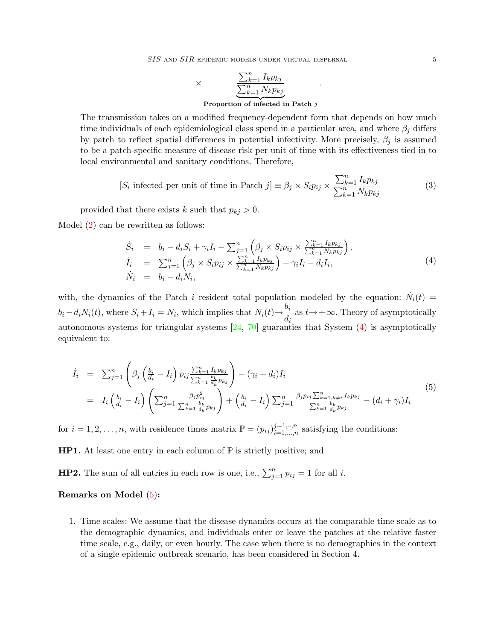SIS AND SIR EPIDEMIC MODELS UNDER VIRTUAL DISPERSAL 5

$$
\times \underbrace{\frac{\sum_{k=1}^{n} I_k p_{kj}}{\sum_{k=1}^{n} N_k p_{kj}}}_{\text{Proportion of infected in Patch } j}
$$

The transmission takes on a modified frequency-dependent form that depends on how much time individuals of each epidemiological class spend in a particular area, and where  $\beta_j$  differs by patch to reflect spatial differences in potential infectivity. More precisely,  $\beta_j$  is assumed to be a patch-specific measure of disease risk per unit of time with its effectiveness tied in to local environmental and sanitary conditions. Therefore,

$$
[S_i \text{ infected per unit of time in Patch } j] \equiv \beta_j \times S_i p_{ij} \times \frac{\sum_{k=1}^n I_k p_{kj}}{\sum_{k=1}^n N_k p_{kj}}
$$
(3)

.

provided that there exists k such that  $p_{kj} > 0$ .

Model [\(2\)](#page-4-1) can be rewritten as follows:

<span id="page-5-0"></span>
$$
\dot{S}_{i} = b_{i} - d_{i}S_{i} + \gamma_{i}I_{i} - \sum_{j=1}^{n} \left( \beta_{j} \times S_{i}p_{ij} \times \frac{\sum_{k=1}^{n} I_{k}p_{kj}}{\sum_{k=1}^{n} N_{k}p_{kj}} \right), \n\dot{I}_{i} = \sum_{j=1}^{n} \left( \beta_{j} \times S_{i}p_{ij} \times \frac{\sum_{k=1}^{n} I_{k}p_{kj}}{\sum_{k=1}^{n} N_{k}p_{kj}} \right) - \gamma_{i}I_{i} - d_{i}I_{i}, \n\dot{N}_{i} = b_{i} - d_{i}N_{i},
$$
\n(4)

with, the dynamics of the Patch i resident total population modeled by the equation:  $\dot{N}_i(t)$  $b_i - d_i N_i(t)$ , where  $S_i + I_i = N_i$ , which implies that  $N_i(t) \rightarrow \frac{b_i}{J}$  $\frac{\partial u}{\partial t}$  as  $t \rightarrow +\infty$ . Theory of asymptotically autonomous systems for triangular systems [\[24,](#page-23-13) [70\]](#page-26-2) guaranties that System [\(4\)](#page-5-0) is asymptotically equivalent to:

<span id="page-5-1"></span>
$$
\begin{split}\n\dot{I}_{i} &= \sum_{j=1}^{n} \left( \beta_{j} \left( \frac{b_{i}}{d_{i}} - I_{i} \right) p_{ij} \frac{\sum_{k=1}^{n} I_{k} p_{kj}}{\sum_{k=1}^{n} d_{k}^{i} p_{kj}} \right) - (\gamma_{i} + d_{i}) I_{i} \\
&= I_{i} \left( \frac{b_{i}}{d_{i}} - I_{i} \right) \left( \sum_{j=1}^{n} \frac{\beta_{j} p_{ij}^{2}}{\sum_{k=1}^{n} d_{k}^{i} p_{kj}} \right) + \left( \frac{b_{i}}{d_{i}} - I_{i} \right) \sum_{j=1}^{n} \frac{\beta_{j} p_{ij} \sum_{k=1, k \neq i}^{n} I_{k} p_{kj}}{\sum_{k=1}^{n} d_{k}^{i} p_{kj}} - (d_{i} + \gamma_{i}) I_{i}\n\end{split} \tag{5}
$$

for  $i = 1, 2, \ldots, n$ , with residence times matrix  $\mathbb{P} = (p_{ij})_{i=1,\ldots,n}^{j=1,\ldots,n}$  $i=1,\ldots,n$  satisfying the conditions:

**HP1.** At least one entry in each column of  $\mathbb{P}$  is strictly positive; and

**HP2.** The sum of all entries in each row is one, i.e.,  $\sum_{j=1}^{n} p_{ij} = 1$  for all i.

#### Remarks on Model [\(5\)](#page-5-1):

1. Time scales: We assume that the disease dynamics occurs at the comparable time scale as to the demographic dynamics, and individuals enter or leave the patches at the relative faster time scale, e.g., daily, or even hourly. The case when there is no demographics in the context of a single epidemic outbreak scenario, has been considered in Section 4.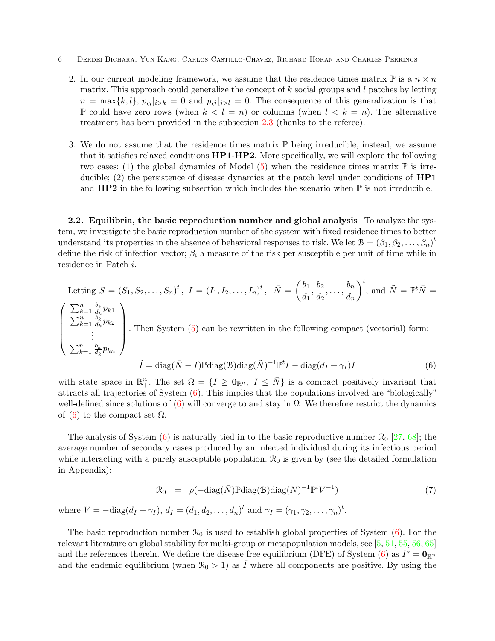- 6 Derdei Bichara, Yun Kang, Carlos Castillo-Chavez, Richard Horan and Charles Perrings
	- 2. In our current modeling framework, we assume that the residence times matrix  $\mathbb P$  is a  $n \times n$ matrix. This approach could generalize the concept of  $k$  social groups and  $l$  patches by letting  $n = \max\{k, l\}, p_{ij} |_{i \geq k} = 0$  and  $p_{ij} |_{j \geq l} = 0$ . The consequence of this generalization is that  $\mathbb P$  could have zero rows (when  $k < l = n$ ) or columns (when  $l < k = n$ ). The alternative treatment has been provided in the subsection [2.3](#page-8-0) (thanks to the referee).
	- 3. We do not assume that the residence times matrix  $\mathbb P$  being irreducible, instead, we assume that it satisfies relaxed conditions HP1-HP2. More specifically, we will explore the following two cases: (1) the global dynamics of Model [\(5\)](#page-5-1) when the residence times matrix  $\mathbb P$  is irreducible; (2) the persistence of disease dynamics at the patch level under conditions of **HP1** and  $HP2$  in the following subsection which includes the scenario when  $\mathbb P$  is not irreducible.

2.2. Equilibria, the basic reproduction number and global analysis To analyze the system, we investigate the basic reproduction number of the system with fixed residence times to better understand its properties in the absence of behavioral responses to risk. We let  $B = (\beta_1, \beta_2, \dots, \beta_n)^t$ define the risk of infection vector;  $\beta_i$  a measure of the risk per susceptible per unit of time while in residence in Patch i.

Letting 
$$
S = (S_1, S_2, ..., S_n)^t
$$
,  $I = (I_1, I_2, ..., I_n)^t$ ,  $\bar{N} = \left(\frac{b_1}{d_1}, \frac{b_2}{d_2}, ..., \frac{b_n}{d_n}\right)^t$ , and  $\tilde{N} = \mathbb{P}^t \bar{N} = \left(\sum_{k=1}^n \frac{b_k}{d_k} p_{k1} \sum_{k=1}^n \frac{b_k}{d_k} p_{k2} \right)$ . Then System (5) can be rewritten in the following compact (vectorial) form:  
\n
$$
\sum_{k=1}^n \frac{b_k}{d_k} p_{kn}
$$
\n
$$
\bar{I} = \text{diag}(\bar{N} - I) \mathbb{P} \text{diag}(\mathcal{B}) \text{diag}(\tilde{N})^{-1} \mathbb{P}^t I - \text{diag}(d_I + \gamma_I) I
$$
\n(6)

<span id="page-6-0"></span>with state space in  $\mathbb{R}^n_+$ . The set  $\Omega = \{I \geq \mathbf{0}_{\mathbb{R}^n}, I \leq \bar{N}\}\$ is a compact positively invariant that attracts all trajectories of System [\(6\)](#page-6-0). This implies that the populations involved are "biologically" well-defined since solutions of  $(6)$  will converge to and stay in  $\Omega$ . We therefore restrict the dynamics of [\(6\)](#page-6-0) to the compact set  $\Omega$ .

The analysis of System [\(6\)](#page-6-0) is naturally tied in to the basic reproductive number  $\mathcal{R}_0$  [\[27,](#page-23-14) [68\]](#page-26-3); the average number of secondary cases produced by an infected individual during its infectious period while interacting with a purely susceptible population.  $\mathcal{R}_0$  is given by (see the detailed formulation in Appendix):

$$
\mathcal{R}_0 = \rho(-\text{diag}(\bar{N}) \mathbb{P} \text{diag}(\mathcal{B}) \text{diag}(\tilde{N})^{-1} \mathbb{P}^t V^{-1})
$$
(7)  
where  $V = -\text{diag}(d_I + \gamma_I), d_I = (d_1, d_2, ..., d_n)^t$  and  $\gamma_I = (\gamma_1, \gamma_2, ..., \gamma_n)^t$ .

The basic reproduction number  $\mathcal{R}_0$  is used to establish global properties of System  $(6)$ . For the relevant literature on global stability for multi-group or metapopulation models, see [\[5,](#page-22-4) [51,](#page-25-14) [55,](#page-25-15) [56,](#page-25-4) [65\]](#page-25-11) and the references therein. We define the disease free equilibrium (DFE) of System [\(6\)](#page-6-0) as  $I^* = \mathbf{0}_{\mathbb{R}^n}$ and the endemic equilibrium (when  $\mathcal{R}_0 > 1$ ) as  $\overline{I}$  where all components are positive. By using the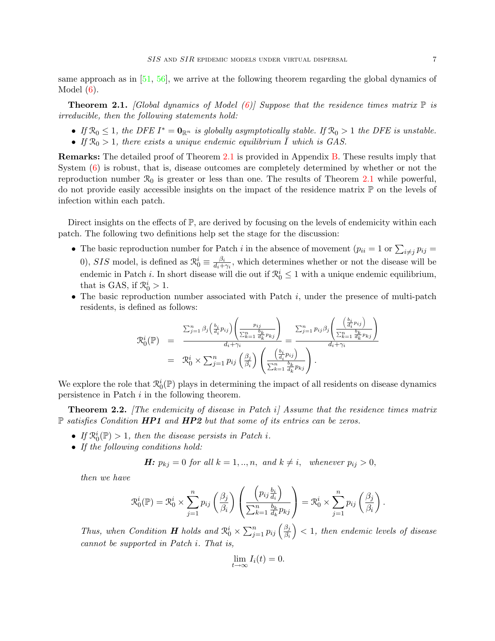same approach as in  $[51, 56]$  $[51, 56]$  $[51, 56]$ , we arrive at the following theorem regarding the global dynamics of Model  $(6)$ .

<span id="page-7-0"></span>**Theorem 2.1.** [Global dynamics of Model [\(6\)](#page-6-0)] Suppose that the residence times matrix  $\mathbb{P}$  is irreducible, then the following statements hold:

- If  $\mathcal{R}_0 \leq 1$ , the DFE  $I^* = \mathbf{0}_{\mathbb{R}^n}$  is globally asymptotically stable. If  $\mathcal{R}_0 > 1$  the DFE is unstable.
- If  $\mathcal{R}_0 > 1$ , there exists a unique endemic equilibrium  $\overline{I}$  which is GAS.

Remarks: The detailed proof of Theorem [2.1](#page-7-0) is provided in Appendix [B.](#page-20-0) These results imply that System [\(6\)](#page-6-0) is robust, that is, disease outcomes are completely determined by whether or not the reproduction number  $\mathcal{R}_0$  is greater or less than one. The results of Theorem [2.1](#page-7-0) while powerful, do not provide easily accessible insights on the impact of the residence matrix  $\mathbb P$  on the levels of infection within each patch.

Direct insights on the effects of  $\mathbb{P}$ , are derived by focusing on the levels of endemicity within each patch. The following two definitions help set the stage for the discussion:

- The basic reproduction number for Patch *i* in the absence of movement  $(p_{ii} = 1 \text{ or } \sum_{i \neq j} p_{ij} =$ 0), SIS model, is defined as  $\mathcal{R}_0^i \equiv \frac{\beta_i}{d_i + 1}$  $\frac{\beta_i}{d_i + \gamma_i}$ , which determines whether or not the disease will be endemic in Patch *i*. In short disease will die out if  $\mathcal{R}_0^i \leq 1$  with a unique endemic equilibrium, that is GAS, if  $\mathcal{R}_0^i > 1$ .
- The basic reproduction number associated with Patch  $i$ , under the presence of multi-patch residents, is defined as follows:

$$
\mathcal{R}_0^i(\mathbb{P}) = \frac{\sum_{j=1}^n \beta_j \left( \frac{b_i}{d_i} p_{ij} \right) \left( \frac{p_{ij}}{\sum_{k=1}^n \frac{b_k}{d_k} p_{kj}} \right)}{d_i + \gamma_i} = \frac{\sum_{j=1}^n p_{ij} \beta_j \left( \frac{\left( \frac{b_i}{d_i} p_{ij} \right)}{\sum_{k=1}^n \frac{b_k}{d_k} p_{kj}} \right)}{d_i + \gamma_i} = \mathcal{R}_0^i \times \sum_{j=1}^n p_{ij} \left( \frac{\beta_j}{\beta_i} \right) \left( \frac{\left( \frac{b_i}{d_i} p_{ij} \right)}{\sum_{k=1}^n \frac{b_k}{d_k} p_{kj}} \right).
$$

We explore the role that  $\mathcal{R}_0^i(\mathbb{P})$  plays in determining the impact of all residents on disease dynamics persistence in Patch i in the following theorem.

<span id="page-7-1"></span>**Theorem 2.2.** The endemicity of disease in Patch  $i$  Assume that the residence times matrix  $\mathbb P$  satisfies Condition HP1 and HP2 but that some of its entries can be zeros.

- If  $\mathcal{R}_0^i(\mathbb{P}) > 1$ , then the disease persists in Patch i.
- If the following conditions hold:

**H:** 
$$
p_{kj} = 0
$$
 for all  $k = 1, ..., n$ , and  $k \neq i$ , whenever  $p_{ij} > 0$ ,

then we have

$$
\mathcal{R}_0^i(\mathbb{P}) = \mathcal{R}_0^i \times \sum_{j=1}^n p_{ij} \left( \frac{\beta_j}{\beta_i} \right) \left( \frac{\left( p_{ij} \frac{b_i}{d_i} \right)}{\sum_{k=1}^n \frac{b_k}{d_k} p_{kj}} \right) = \mathcal{R}_0^i \times \sum_{j=1}^n p_{ij} \left( \frac{\beta_j}{\beta_i} \right).
$$

Thus, when Condition **H** holds and  $\mathcal{R}_0^i \times \sum_{j=1}^n p_{ij} \left( \frac{\beta_j}{\beta_i} \right)$  $\overline{\beta_i}$  $($  > 1, then endemic levels of disease cannot be supported in Patch i. That is,

$$
\lim_{t \to \infty} I_i(t) = 0.
$$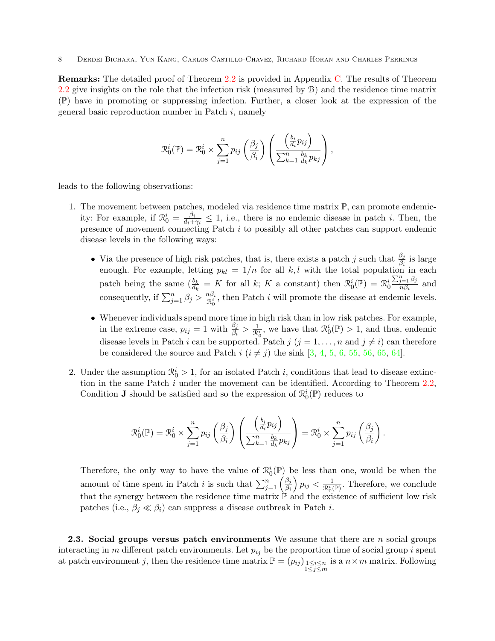Remarks: The detailed proof of Theorem [2.2](#page-7-1) is provided in Appendix [C.](#page-21-0) The results of Theorem [2.2](#page-7-1) give insights on the role that the infection risk (measured by B) and the residence time matrix (P) have in promoting or suppressing infection. Further, a closer look at the expression of the general basic reproduction number in Patch  $i$ , namely

$$
\mathcal{R}_0^i(\mathbb{P}) = \mathcal{R}_0^i \times \sum_{j=1}^n p_{ij} \left( \frac{\beta_j}{\beta_i} \right) \left( \frac{\left( \frac{b_i}{d_i} p_{ij} \right)}{\sum_{k=1}^n \frac{b_k}{d_k} p_{kj}} \right),
$$

leads to the following observations:

- 1. The movement between patches, modeled via residence time matrix  $\mathbb{P}$ , can promote endemicity: For example, if  $\mathcal{R}_0^i = \frac{\beta_i}{d_i + 1}$  $\frac{\beta_i}{d_i + \gamma_i} \leq 1$ , i.e., there is no endemic disease in patch *i*. Then, the presence of movement connecting Patch i to possibly all other patches can support endemic disease levels in the following ways:
	- Via the presence of high risk patches, that is, there exists a patch j such that  $\frac{\beta_j}{\beta_i}$  is large enough. For example, letting  $p_{kl} = 1/n$  for all k, l with the total population in each patch being the same  $\left(\frac{b_k}{d_k} = K \text{ for all } k; K \text{ a constant}\right)$  then  $\mathcal{R}_0^i(\mathbb{P}) = \mathcal{R}_0^i$  $\sum_{j=1}^n \beta_j$  $\frac{j=1\ \mu_j}{n\beta_i}$  and consequently, if  $\sum_{j=1}^{n} \beta_j > \frac{n\beta_i}{\mathcal{R}_0^i}$  $\frac{n\beta_i}{\mathcal{R}_0^i}$ , then Patch *i* will promote the disease at endemic levels.
	- Whenever individuals spend more time in high risk than in low risk patches. For example, in the extreme case,  $p_{ij} = 1$  with  $\frac{\beta_j}{\beta_i} > \frac{1}{\mathcal{R}_0^i}$ , we have that  $\mathcal{R}_0^i(\mathbb{P}) > 1$ , and thus, endemic disease levels in Patch i can be supported. Patch j  $(j = 1, \ldots, n$  and  $j \neq i)$  can therefore be considered the source and Patch  $i$   $(i \neq j)$  the sink [\[3,](#page-22-5) [4,](#page-22-6) [5,](#page-22-4) [6,](#page-22-7) [55,](#page-25-15) [56,](#page-25-4) [65,](#page-25-11) [64\]](#page-25-16).
- 2. Under the assumption  $\mathcal{R}_0^i > 1$ , for an isolated Patch i, conditions that lead to disease extinction in the same Patch  $i$  under the movement can be identified. According to Theorem [2.2,](#page-7-1) Condition **J** should be satisfied and so the expression of  $\mathcal{R}_0^i(\mathbb{P})$  reduces to

$$
\mathcal{R}_0^i(\mathbb{P}) = \mathcal{R}_0^i \times \sum_{j=1}^n p_{ij} \left( \frac{\beta_j}{\beta_i} \right) \left( \frac{\left( \frac{b_i}{d_i} p_{ij} \right)}{\sum_{k=1}^n \frac{b_k}{d_k} p_{kj}} \right) = \mathcal{R}_0^i \times \sum_{j=1}^n p_{ij} \left( \frac{\beta_j}{\beta_i} \right).
$$

Therefore, the only way to have the value of  $\mathcal{R}_0^i(\mathbb{P})$  be less than one, would be when the amount of time spent in Patch i is such that  $\sum_{j=1}^{n} \left( \frac{\beta_j}{\beta_i} \right)$  $\beta_i$  $\left( p_{ij} < \frac{1}{\mathcal{R}_0^i(\mathbb{P})}.$  Therefore, we conclude that the synergy between the residence time matrix  $\mathbb P$  and the existence of sufficient low risk patches (i.e.,  $\beta_i \ll \beta_i$ ) can suppress a disease outbreak in Patch *i*.

<span id="page-8-0"></span>**2.3.** Social groups versus patch environments We assume that there are  $n$  social groups interacting in m different patch environments. Let  $p_{ij}$  be the proportion time of social group i spent at patch environment j, then the residence time matrix  $\mathbb{P} = (p_{ij})_{\substack{1 \le i \le n \\ 1 \le j \le m}}$ is a  $n \times m$  matrix. Following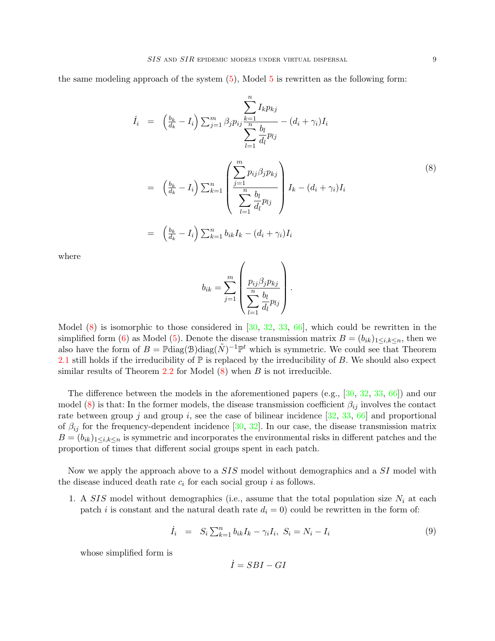the same modeling approach of the system  $(5)$ , Model [5](#page-5-1) is rewritten as the following form:

<span id="page-9-0"></span>
$$
\dot{I}_{i} = \left(\frac{b_{k}}{d_{k}} - I_{i}\right) \sum_{j=1}^{m} \beta_{j} p_{ij} \frac{k=1}{\frac{n}{n}} - (d_{i} + \gamma_{i}) I_{i}
$$
\n
$$
\sum_{l=1}^{n} \frac{b_{l}}{d_{l}} p_{lj}
$$
\n
$$
= \left(\frac{b_{k}}{d_{k}} - I_{i}\right) \sum_{k=1}^{n} \left(\frac{\sum_{j=1}^{m} p_{ij} \beta_{j} p_{kj}}{\sum_{l=1}^{n} \frac{b_{l}}{d_{l}} p_{lj}}\right) I_{k} - (d_{i} + \gamma_{i}) I_{i}
$$
\n
$$
= \left(\frac{b_{k}}{d_{k}} - I_{i}\right) \sum_{k=1}^{n} b_{ik} I_{k} - (d_{i} + \gamma_{i}) I_{i}
$$
\n
$$
(8)
$$

where

$$
b_{ik} = \sum_{j=1}^{m} \left( \frac{p_{ij} \beta_j p_{kj}}{\sum_{l=1}^{n} \frac{b_l}{d_l} p_{lj}} \right).
$$

Model  $(8)$  is isomorphic to those considered in  $[30, 32, 33, 66]$  $[30, 32, 33, 66]$  $[30, 32, 33, 66]$  $[30, 32, 33, 66]$  $[30, 32, 33, 66]$  $[30, 32, 33, 66]$  $[30, 32, 33, 66]$ , which could be rewritten in the simplified form [\(6\)](#page-6-0) as Model [\(5\)](#page-5-1). Denote the disease transmission matrix  $B = (b_{ik})_{1 \leq i,k \leq n}$ , then we also have the form of  $B = \mathbb{P} \text{diag}(\mathcal{B}) \text{diag}(\tilde{N})^{-1} \mathbb{P}^t$  which is symmetric. We could see that Theorem [2.1](#page-7-0) still holds if the irreducibility of  $\mathbb P$  is replaced by the irreducibility of B. We should also expect similar results of Theorem [2.2](#page-7-1) for Model  $(8)$  when B is not irreducible.

The difference between the models in the aforementioned papers (e.g., [\[30,](#page-24-9) [32,](#page-24-11) [33,](#page-24-12) [66\]](#page-25-13)) and our model [\(8\)](#page-9-0) is that: In the former models, the disease transmission coefficient  $\beta_{ij}$  involves the contact rate between group j and group i, see the case of bilinear incidence  $[32, 33, 66]$  $[32, 33, 66]$  $[32, 33, 66]$  $[32, 33, 66]$  $[32, 33, 66]$  and proportional of  $\beta_{ij}$  for the frequency-dependent incidence [\[30,](#page-24-9) [32\]](#page-24-11). In our case, the disease transmission matrix  $B = (b_{ik})_{1 \leq i,k \leq n}$  is symmetric and incorporates the environmental risks in different patches and the proportion of times that different social groups spent in each patch.

Now we apply the approach above to a SIS model without demographics and a SI model with the disease induced death rate  $c_i$  for each social group i as follows.

1. A SIS model without demographics (i.e., assume that the total population size  $N_i$  at each patch *i* is constant and the natural death rate  $d_i = 0$ ) could be rewritten in the form of:

<span id="page-9-1"></span>
$$
\dot{I}_i = S_i \sum_{k=1}^n b_{ik} I_k - \gamma_i I_i, \ S_i = N_i - I_i \tag{9}
$$

whose simplified form is

$$
\dot{I}=SBI-GI
$$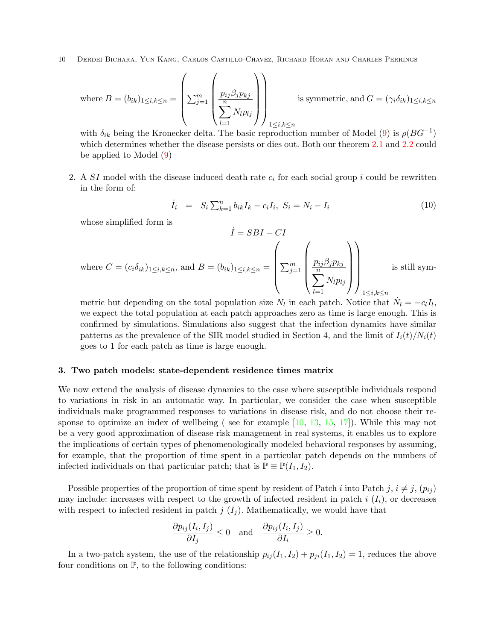where 
$$
B = (b_{ik})_{1 \leq i,k \leq n} = \left(\sum_{j=1}^{m} \left(\frac{p_{ij}\beta_j p_{kj}}{\sum_{l=1}^{n} N_l p_{lj}}\right)\right)_{1 \leq i,k \leq n}
$$
 is symmetric, and  $G = (\gamma_i \delta_{ik})_{1 \leq i,k \leq n}$ 

with  $\delta_{ik}$  being the Kronecker delta. The basic reproduction number of Model [\(9\)](#page-9-1) is  $\rho(BG^{-1})$ which determines whether the disease persists or dies out. Both our theorem [2.1](#page-7-0) and [2.2](#page-7-1) could be applied to Model [\(9\)](#page-9-1)

2. A  $SI$  model with the disease induced death rate  $c_i$  for each social group i could be rewritten in the form of:

$$
\dot{I}_i = S_i \sum_{k=1}^n b_{ik} I_k - c_i I_i, \ S_i = N_i - I_i \tag{10}
$$

whose simplified form is

$$
I = SBI - CI
$$
  
where  $C = (c_i \delta_{ik})_{1 \le i,k \le n}$ , and  $B = (b_{ik})_{1 \le i,k \le n} = \left(\sum_{j=1}^m \left(\frac{p_{ij}\beta_j p_{kj}}{\sum_{l=1}^n N_l p_{lj}}\right)\right)_{1 \le i,k \le n}$  is still sym-

 $\dot{z}$   $\alpha$ BI  $\alpha$ I

metric but depending on the total population size  $N_l$  in each patch. Notice that  $\dot{N}_l = -c_l I_l$ , we expect the total population at each patch approaches zero as time is large enough. This is confirmed by simulations. Simulations also suggest that the infection dynamics have similar patterns as the prevalence of the SIR model studied in Section 4, and the limit of  $I_i(t)/N_i(t)$ goes to 1 for each patch as time is large enough.

#### <span id="page-10-0"></span>3. Two patch models: state-dependent residence times matrix

We now extend the analysis of disease dynamics to the case where susceptible individuals respond to variations in risk in an automatic way. In particular, we consider the case when susceptible individuals make programmed responses to variations in disease risk, and do not choose their response to optimize an index of wellbeing ( see for example [\[10,](#page-23-7) [13,](#page-23-9) [15,](#page-23-10) [17\]](#page-23-11)). While this may not be a very good approximation of disease risk management in real systems, it enables us to explore the implications of certain types of phenomenologically modeled behavioral responses by assuming, for example, that the proportion of time spent in a particular patch depends on the numbers of infected individuals on that particular patch; that is  $\mathbb{P} \equiv \mathbb{P}(I_1, I_2)$ .

Possible properties of the proportion of time spent by resident of Patch i into Patch j,  $i \neq j$ ,  $(p_{ij})$ may include: increases with respect to the growth of infected resident in patch  $i(I_i)$ , or decreases with respect to infected resident in patch  $j(I_i)$ . Mathematically, we would have that

$$
\frac{\partial p_{ij}(I_i, I_j)}{\partial I_j} \le 0 \quad \text{and} \quad \frac{\partial p_{ij}(I_i, I_j)}{\partial I_i} \ge 0.
$$

In a two-patch system, the use of the relationship  $p_{ij}(I_1, I_2) + p_{ji}(I_1, I_2) = 1$ , reduces the above four conditions on  $\mathbb{P}$ , to the following conditions: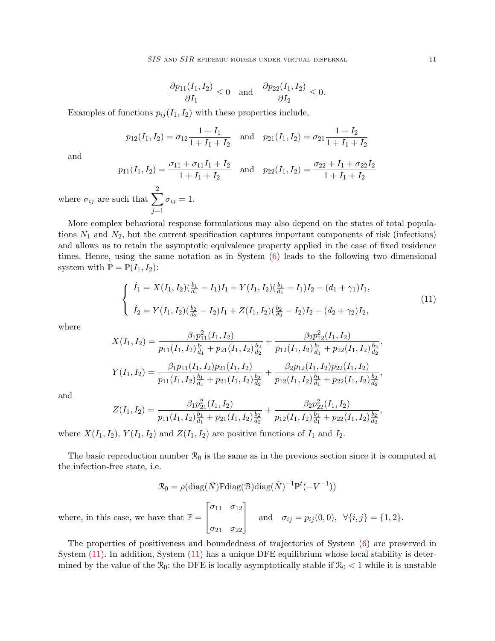SIS AND SIR EPIDEMIC MODELS UNDER VIRTUAL DISPERSAL 11

$$
\frac{\partial p_{11}(I_1, I_2)}{\partial I_1} \le 0 \quad \text{and} \quad \frac{\partial p_{22}(I_1, I_2)}{\partial I_2} \le 0.
$$

Examples of functions  $p_{ij}(I_1, I_2)$  with these properties include,

$$
p_{12}(I_1, I_2) = \sigma_{12} \frac{1 + I_1}{1 + I_1 + I_2}
$$
 and  $p_{21}(I_1, I_2) = \sigma_{21} \frac{1 + I_2}{1 + I_1 + I_2}$ 

and

$$
p_{11}(I_1, I_2) = \frac{\sigma_{11} + \sigma_{11}I_1 + I_2}{1 + I_1 + I_2} \quad \text{and} \quad p_{22}(I_1, I_2) = \frac{\sigma_{22} + I_1 + \sigma_{22}I_2}{1 + I_1 + I_2}
$$
  
where  $\sigma_{ij}$  are such that  $\sum_{j=1}^{2} \sigma_{ij} = 1$ .

More complex behavioral response formulations may also depend on the states of total populations  $N_1$  and  $N_2$ , but the current specification captures important components of risk (infections) and allows us to retain the asymptotic equivalence property applied in the case of fixed residence times. Hence, using the same notation as in System  $(6)$  leads to the following two dimensional system with  $\mathbb{P} = \mathbb{P}(I_1, I_2)$ :

<span id="page-11-0"></span>
$$
\begin{cases}\n\dot{I}_1 = X(I_1, I_2)(\frac{b_1}{d_1} - I_1)I_1 + Y(I_1, I_2)(\frac{b_1}{d_1} - I_1)I_2 - (d_1 + \gamma_1)I_1, \\
\dot{I}_2 = Y(I_1, I_2)(\frac{b_2}{d_2} - I_2)I_1 + Z(I_1, I_2)(\frac{b_2}{d_2} - I_2)I_2 - (d_2 + \gamma_2)I_2,\n\end{cases}
$$
\n(11)

where

$$
X(I_1, I_2) = \frac{\beta_1 p_{11}^2 (I_1, I_2)}{p_{11}(I_1, I_2) \frac{b_1}{d_1} + p_{21}(I_1, I_2) \frac{b_2}{d_2}} + \frac{\beta_2 p_{12}^2 (I_1, I_2)}{p_{12}(I_1, I_2) \frac{b_1}{d_1} + p_{22}(I_1, I_2) \frac{b_2}{d_2}},
$$
  

$$
Y(I_1, I_2) = \frac{\beta_1 p_{11}(I_1, I_2) p_{21}(I_1, I_2)}{p_{11}(I_1, I_2) \frac{b_1}{d_1} + p_{21}(I_1, I_2) \frac{b_2}{d_2}} + \frac{\beta_2 p_{12}(I_1, I_2) p_{22}(I_1, I_2)}{p_{12}(I_1, I_2) \frac{b_1}{d_1} + p_{22}(I_1, I_2) \frac{b_2}{d_2}},
$$

and

$$
Z(I_1, I_2) = \frac{\beta_1 p_{21}^2(I_1, I_2)}{p_{11}(I_1, I_2)\frac{b_1}{d_1} + p_{21}(I_1, I_2)\frac{b_2}{d_2}} + \frac{\beta_2 p_{22}^2(I_1, I_2)}{p_{12}(I_1, I_2)\frac{b_1}{d_1} + p_{22}(I_1, I_2)\frac{b_2}{d_2}}
$$

where  $X(I_1, I_2)$ ,  $Y(I_1, I_2)$  and  $Z(I_1, I_2)$  are positive functions of  $I_1$  and  $I_2$ .

The basic reproduction number  $\mathcal{R}_0$  is the same as in the previous section since it is computed at the infection-free state, i.e.

$$
\mathcal{R}_0 = \rho(\text{diag}(\bar{N}) \mathbb{P} \text{diag}(\mathcal{B}) \text{diag}(\tilde{N})^{-1} \mathbb{P}^t(-V^{-1}))
$$

$$
\begin{bmatrix} \sigma_{11} & \sigma_{12} \end{bmatrix}
$$

and  $\sigma_{ij} = p_{ij}(0,0), \ \forall \{i,j\} = \{1,2\}.$ 

where, in this case, we have that  $\mathbb{P} =$  $\overline{1}$ 

The properties of positiveness and boundedness of trajectories of System [\(6\)](#page-6-0) are preserved in System [\(11\)](#page-11-0). In addition, System [\(11\)](#page-11-0) has a unique DFE equilibrium whose local stability is determined by the value of the  $\mathcal{R}_0$ : the DFE is locally asymptotically stable if  $\mathcal{R}_0 < 1$  while it is unstable

 $\sigma_{21}$   $\sigma_{22}$ 

,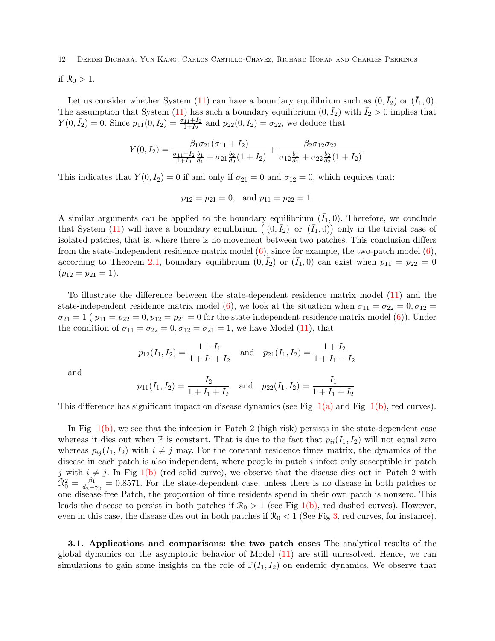if  $\mathcal{R}_0 > 1$ .

Let us consider whether System [\(11\)](#page-11-0) can have a boundary equilibrium such as  $(0, \bar{I}_2)$  or  $(\bar{I}_1, 0)$ . The assumption that System [\(11\)](#page-11-0) has such a boundary equilibrium  $(0, \bar{I}_2)$  with  $\bar{I}_2 > 0$  implies that  $Y(0, \bar{I}_2) = 0$ . Since  $p_{11}(0, I_2) = \frac{\sigma_{11} + I_2}{1 + I_2}$  and  $p_{22}(0, I_2) = \sigma_{22}$ , we deduce that

$$
Y(0,I_2) = \frac{\beta_1 \sigma_{21}(\sigma_{11} + I_2)}{\frac{\sigma_{11} + I_2}{1 + I_2} \frac{b_1}{d_1} + \sigma_{21} \frac{b_2}{d_2} (1 + I_2)} + \frac{\beta_2 \sigma_{12} \sigma_{22}}{\sigma_{12} \frac{b_1}{d_1} + \sigma_{22} \frac{b_2}{d_2} (1 + I_2)}.
$$

This indicates that  $Y(0, I_2) = 0$  if and only if  $\sigma_{21} = 0$  and  $\sigma_{12} = 0$ , which requires that:

$$
p_{12} = p_{21} = 0
$$
, and  $p_{11} = p_{22} = 1$ .

A similar arguments can be applied to the boundary equilibrium  $(\bar{I}_1, 0)$ . Therefore, we conclude that System [\(11\)](#page-11-0) will have a boundary equilibrium  $((0, \bar{I}_2)$  or  $(\bar{I}_1, 0))$  only in the trivial case of isolated patches, that is, where there is no movement between two patches. This conclusion differs from the state-independent residence matrix model  $(6)$ , since for example, the two-patch model  $(6)$ , according to Theorem [2.1,](#page-7-0) boundary equilibrium  $(0, \bar{I}_2)$  or  $(\bar{I}_1, 0)$  can exist when  $p_{11} = p_{22} = 0$  $(p_{12} = p_{21} = 1).$ 

To illustrate the difference between the state-dependent residence matrix model [\(11\)](#page-11-0) and the state-independent residence matrix model [\(6\)](#page-6-0), we look at the situation when  $\sigma_{11} = \sigma_{22} = 0, \sigma_{12} = 0$  $\sigma_{21} = 1$  (  $p_{11} = p_{22} = 0, p_{12} = p_{21} = 0$  for the state-independent residence matrix model [\(6\)](#page-6-0)). Under the condition of  $\sigma_{11} = \sigma_{22} = 0, \sigma_{12} = \sigma_{21} = 1$ , we have Model [\(11\)](#page-11-0), that

$$
p_{12}(I_1, I_2) = \frac{1 + I_1}{1 + I_1 + I_2}
$$
 and  $p_{21}(I_1, I_2) = \frac{1 + I_2}{1 + I_1 + I_2}$ 

and

$$
p_{11}(I_1, I_2) = \frac{I_2}{1 + I_1 + I_2}
$$
 and  $p_{22}(I_1, I_2) = \frac{I_1}{1 + I_1 + I_2}$ .

This difference has significant impact on disease dynamics (see Fig  $1(a)$  and Fig  $1(b)$ , red curves).

In Fig  $1(b)$ , we see that the infection in Patch 2 (high risk) persists in the state-dependent case whereas it dies out when  $\mathbb P$  is constant. That is due to the fact that  $p_{ii}(I_1, I_2)$  will not equal zero whereas  $p_{ij}(I_1, I_2)$  with  $i \neq j$  may. For the constant residence times matrix, the dynamics of the disease in each patch is also independent, where people in patch  $i$  infect only susceptible in patch j with  $i \neq j$ . In Fig [1\(b\)](#page-13-1) (red solid curve), we observe that the disease dies out in Patch 2 with  $\tilde{\Re}^2_0 = \frac{\beta_1}{d_2 + 1}$  $\frac{\beta_1}{d_2+\gamma_2} = 0.8571$ . For the state-dependent case, unless there is no disease in both patches or one disease-free Patch, the proportion of time residents spend in their own patch is nonzero. This leads the disease to persist in both patches if  $\mathcal{R}_0 > 1$  (see Fig [1\(b\),](#page-13-1) red dashed curves). However, even in this case, the disease dies out in both patches if  $\mathcal{R}_0 < 1$  (See Fig [3,](#page-14-0) red curves, for instance).

3.1. Applications and comparisons: the two patch cases The analytical results of the global dynamics on the asymptotic behavior of Model [\(11\)](#page-11-0) are still unresolved. Hence, we ran simulations to gain some insights on the role of  $\mathbb{P}(I_1, I_2)$  on endemic dynamics. We observe that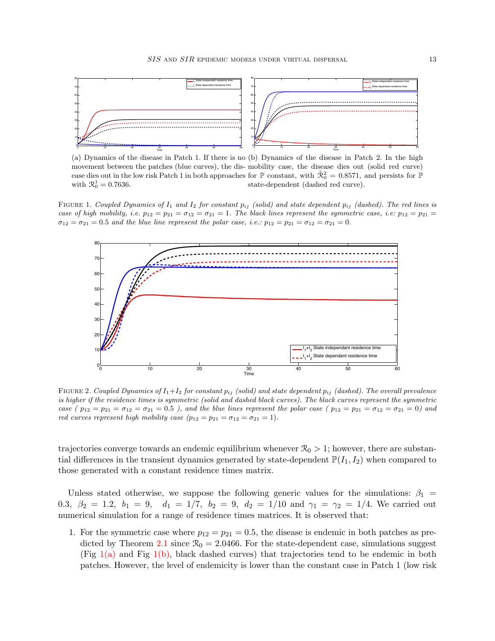<span id="page-13-0"></span>

<span id="page-13-1"></span>(a) Dynamics of the disease in Patch 1. If there is no (b) Dynamics of the disease in Patch 2. In the high movement between the patches (blue curves), the dis-mobility case, the disease dies out (solid red curve) ease dies out in the low risk Patch 1 in both approaches for  $\mathbb P$  constant, with  $\tilde{\mathcal{R}}_0^2 = 0.8571$ , and persists for  $\mathbb P$ with  $\mathcal{R}_0^1 = 0.7636$ . state-dependent (dashed red curve).

<span id="page-13-3"></span>FIGURE 1. Coupled Dynamics of  $I_1$  and  $I_2$  for constant  $p_{ij}$  (solid) and state dependent  $p_{ij}$  (dashed). The red lines is case of high mobility, i.e.  $p_{12} = p_{21} = \sigma_{12} = \sigma_{21} = 1$ . The black lines represent the symmetric case, i.e.  $p_{12} = p_{21} =$  $\sigma_{12} = \sigma_{21} = 0.5$  and the blue line represent the polar case, i.e.:  $p_{12} = p_{21} = \sigma_{12} = \sigma_{21} = 0$ .



<span id="page-13-2"></span>FIGURE 2. Coupled Dynamics of  $I_1+I_2$  for constant  $p_{ij}$  (solid) and state dependent  $p_{ij}$  (dashed). The overall prevalence is higher if the residence times is symmetric (solid and dashed black curves). The black curves represent the symmetric case ( $p_{12} = p_{21} = \sigma_{12} = \sigma_{21} = 0.5$ ), and the blue lines represent the polar case ( $p_{12} = p_{21} = \sigma_{12} = \sigma_{21} = 0$ ) and red curves represent high mobility case  $(p_{12} = p_{21} = \sigma_{12} = \sigma_{21} = 1)$ .

trajectories converge towards an endemic equilibrium whenever  $\mathcal{R}_0 > 1$ ; however, there are substantial differences in the transient dynamics generated by state-dependent  $\mathbb{P}(I_1, I_2)$  when compared to those generated with a constant residence times matrix.

Unless stated otherwise, we suppose the following generic values for the simulations:  $\beta_1$  = 0.3,  $\beta_2 = 1.2$ ,  $b_1 = 9$ ,  $d_1 = 1/7$ ,  $b_2 = 9$ ,  $d_2 = 1/10$  and  $\gamma_1 = \gamma_2 = 1/4$ . We carried out numerical simulation for a range of residence times matrices. It is observed that:

1. For the symmetric case where  $p_{12} = p_{21} = 0.5$ , the disease is endemic in both patches as pre-dicted by Theorem [2.1](#page-7-0) since  $\mathcal{R}_0 = 2.0466$ . For the state-dependent case, simulations suggest (Fig  $1(a)$  and Fig  $1(b)$ , black dashed curves) that trajectories tend to be endemic in both patches. However, the level of endemicity is lower than the constant case in Patch 1 (low risk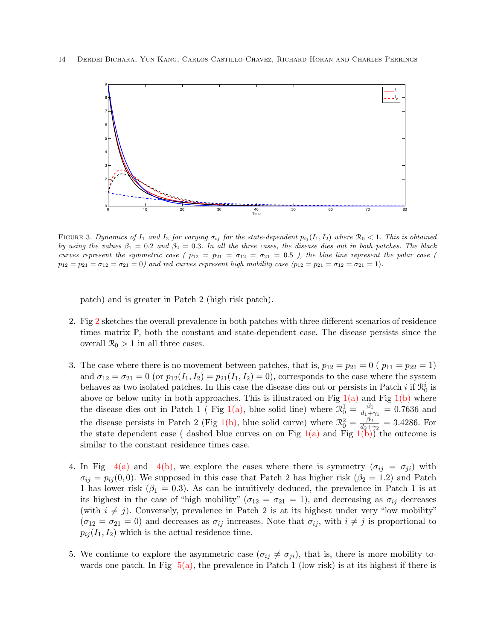

<span id="page-14-0"></span>FIGURE 3. Dynamics of  $I_1$  and  $I_2$  for varying  $\sigma_{ij}$  for the state-dependent  $p_{ij}(I_1, I_2)$  where  $\mathcal{R}_0 < 1$ . This is obtained by using the values  $\beta_1 = 0.2$  and  $\beta_2 = 0.3$ . In all the three cases, the disease dies out in both patches. The black curves represent the symmetric case ( $p_{12} = p_{21} = \sigma_{12} = \sigma_{21} = 0.5$ ), the blue line represent the polar case (  $p_{12} = p_{21} = \sigma_{12} = \sigma_{21} = 0$ ) and red curves represent high mobility case  $(p_{12} = p_{21} = \sigma_{12} = \sigma_{21} = 1)$ .

patch) and is greater in Patch 2 (high risk patch).

- 2. Fig [2](#page-13-2) sketches the overall prevalence in both patches with three different scenarios of residence times matrix P, both the constant and state-dependent case. The disease persists since the overall  $\mathcal{R}_0 > 1$  in all three cases.
- 3. The case where there is no movement between patches, that is,  $p_{12} = p_{21} = 0$  ( $p_{11} = p_{22} = 1$ ) and  $\sigma_{12} = \sigma_{21} = 0$  (or  $p_{12}(I_1, I_2) = p_{21}(I_1, I_2) = 0$ ), corresponds to the case where the system behaves as two isolated patches. In this case the disease dies out or persists in Patch  $i$  if  $\mathcal{R}_0^i$  is above or below unity in both approaches. This is illustrated on Fig  $1(a)$  and Fig  $1(b)$  where the disease dies out in Patch 1 (Fig [1\(a\),](#page-13-0) blue solid line) where  $\mathcal{R}_0^1 = \frac{\beta_1}{d_1 + \beta_2}$  $\frac{\beta_1}{d_1 + \gamma_1} = 0.7636$  and the disease persists in Patch 2 (Fig [1\(b\),](#page-13-1) blue solid curve) where  $\mathcal{R}_0^2 = \frac{\beta_2}{d_2 + 1}$  $\frac{\beta_2}{d_2+\gamma_2} = 3.4286.$  For the state dependent case ( dashed blue curves on on Fig  $1(a)$  and Fig  $1(b)$ ) the outcome is similar to the constant residence times case.
- 4. In Fig [4\(a\)](#page-15-0) and [4\(b\),](#page-15-1) we explore the cases where there is symmetry  $(\sigma_{ij} = \sigma_{ji})$  with  $\sigma_{ij} = p_{ij}(0,0)$ . We supposed in this case that Patch 2 has higher risk  $(\beta_2 = 1.2)$  and Patch 1 has lower risk ( $\beta_1 = 0.3$ ). As can be intuitively deduced, the prevalence in Patch 1 is at its highest in the case of "high mobility" ( $\sigma_{12} = \sigma_{21} = 1$ ), and decreasing as  $\sigma_{ij}$  decreases (with  $i \neq j$ ). Conversely, prevalence in Patch 2 is at its highest under very "low mobility"  $(\sigma_{12} = \sigma_{21} = 0)$  and decreases as  $\sigma_{ij}$  increases. Note that  $\sigma_{ij}$ , with  $i \neq j$  is proportional to  $p_{ij}(I_1, I_2)$  which is the actual residence time.
- 5. We continue to explore the asymmetric case  $(\sigma_{ij} \neq \sigma_{ji})$ , that is, there is more mobility towards one patch. In Fig  $5(a)$ , the prevalence in Patch 1 (low risk) is at its highest if there is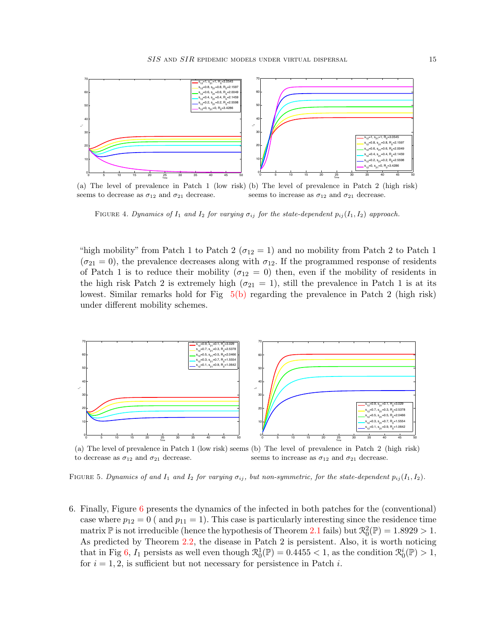<span id="page-15-0"></span>

(a) The level of prevalence in Patch 1 (low risk) (b) The level of prevalence in Patch 2 (high risk) seems to decrease as  $\sigma_{12}$  and  $\sigma_{21}$  decrease. seems to increase as  $\sigma_{12}$  and  $\sigma_{21}$  decrease.

<span id="page-15-4"></span><span id="page-15-1"></span>FIGURE 4. Dynamics of  $I_1$  and  $I_2$  for varying  $\sigma_{ij}$  for the state-dependent  $p_{ij}(I_1, I_2)$  approach.

"high mobility" from Patch 1 to Patch 2 ( $\sigma_{12} = 1$ ) and no mobility from Patch 2 to Patch 1  $(\sigma_{21}=0)$ , the prevalence decreases along with  $\sigma_{12}$ . If the programmed response of residents of Patch 1 is to reduce their mobility ( $\sigma_{12} = 0$ ) then, even if the mobility of residents in the high risk Patch 2 is extremely high ( $\sigma_{21} = 1$ ), still the prevalence in Patch 1 is at its lowest. Similar remarks hold for Fig  $5(b)$  regarding the prevalence in Patch 2 (high risk) under different mobility schemes.

<span id="page-15-2"></span>

<span id="page-15-3"></span>(a) The level of prevalence in Patch 1 (low risk) seems (b) The level of prevalence in Patch 2 (high risk) to decrease as  $\sigma_{12}$  and  $\sigma_{21}$  decrease. seems to increase as  $\sigma_{12}$  and  $\sigma_{21}$  decrease.

<span id="page-15-5"></span>FIGURE 5. Dynamics of and  $I_1$  and  $I_2$  for varying  $\sigma_{ij}$ , but non-symmetric, for the state-dependent  $p_{ij}(I_1, I_2)$ .

[6](#page-16-1). Finally, Figure  $6$  presents the dynamics of the infected in both patches for the (conventional) case where  $p_{12} = 0$  ( and  $p_{11} = 1$ ). This case is particularly interesting since the residence time matrix  $\mathbb P$  is not irreducible (hence the hypothesis of Theorem [2.1](#page-7-0) fails) but  $\mathcal{R}_0^2(\mathbb P) = 1.8929 > 1$ . As predicted by Theorem [2.2,](#page-7-1) the disease in Patch 2 is persistent. Also, it is worth noticing that in Fig [6,](#page-16-1)  $I_1$  persists as well even though  $\mathcal{R}_0^1(\mathbb{P}) = 0.4455 < 1$ , as the condition  $\mathcal{R}_0^i(\mathbb{P}) > 1$ , for  $i = 1, 2$ , is sufficient but not necessary for persistence in Patch i.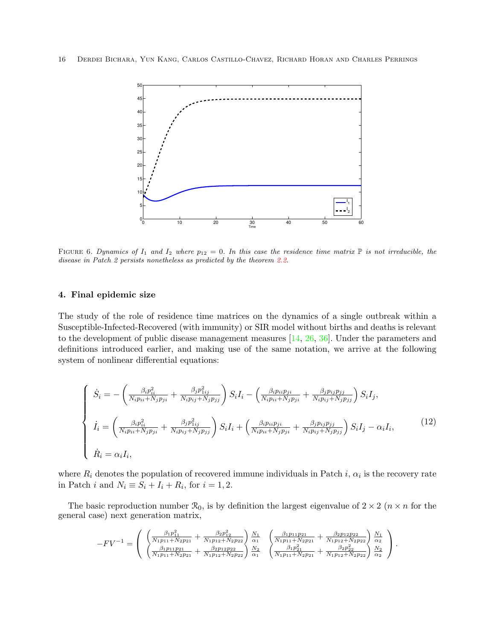

<span id="page-16-1"></span>FIGURE 6. Dynamics of  $I_1$  and  $I_2$  where  $p_{12} = 0$ . In this case the residence time matrix  $\mathbb P$  is not irreducible, the disease in Patch 2 persists nonetheless as predicted by the theorem [2.2.](#page-7-1)

#### <span id="page-16-0"></span>4. Final epidemic size

The study of the role of residence time matrices on the dynamics of a single outbreak within a Susceptible-Infected-Recovered (with immunity) or SIR model without births and deaths is relevant to the development of public disease management measures [\[14,](#page-23-15) [26,](#page-23-16) [36\]](#page-24-13). Under the parameters and definitions introduced earlier, and making use of the same notation, we arrive at the following system of nonlinear differential equations:

<span id="page-16-2"></span>
$$
\begin{cases}\n\dot{S}_{i} = -\left(\frac{\beta_{i}p_{ii}^{2}}{N_{i}p_{ii} + N_{j}p_{ji}} + \frac{\beta_{j}p_{1ij}^{2}}{N_{i}p_{ij} + N_{j}p_{jj}}\right)S_{i}I_{i} - \left(\frac{\beta_{i}p_{ii}p_{ji}}{N_{i}p_{ii} + N_{j}p_{ji}} + \frac{\beta_{j}p_{ij}p_{jj}}{N_{i}p_{ij} + N_{j}p_{jj}}\right)S_{i}I_{j}, \\
\dot{I}_{i} = \left(\frac{\beta_{i}p_{ii}^{2}}{N_{i}p_{ii} + N_{j}p_{ji}} + \frac{\beta_{j}p_{1ij}^{2}}{N_{i}p_{ij} + N_{j}p_{jj}}\right)S_{i}I_{i} + \left(\frac{\beta_{i}p_{ii}p_{ji}}{N_{i}p_{ii} + N_{j}p_{ji}} + \frac{\beta_{j}p_{ij}p_{jj}}{N_{i}p_{ij} + N_{j}p_{jj}}\right)S_{i}I_{j} - \alpha_{i}I_{i},\n\end{cases} (12)
$$
\n
$$
\dot{R}_{i} = \alpha_{i}I_{i},
$$

where  $R_i$  denotes the population of recovered immune individuals in Patch i,  $\alpha_i$  is the recovery rate in Patch *i* and  $N_i \equiv S_i + I_i + R_i$ , for  $i = 1, 2$ .

The basic reproduction number  $\mathcal{R}_0$ , is by definition the largest eigenvalue of  $2 \times 2$  ( $n \times n$  for the general case) next generation matrix,

$$
-FV^{-1} = \begin{pmatrix} \left( \frac{\beta_1 p_{11}^2}{N_1 p_{11} + N_2 p_{21}} + \frac{\beta_2 p_{12}^2}{N_1 p_{12} + N_2 p_{22}} \right) \frac{N_1}{\alpha_1} & \left( \frac{\beta_1 p_{11} p_{21}}{N_1 p_{11} + N_2 p_{21}} + \frac{\beta_2 p_{12} p_{22}}{N_1 p_{12} + N_2 p_{22}} \right) \frac{N_1}{\alpha_2} \\ \left( \frac{\beta_1 p_{11} p_{21}}{N_1 p_{11} + N_2 p_{21}} + \frac{\beta_2 p_{12} p_{22}}{N_1 p_{12} + N_2 p_{22}} \right) \frac{N_2}{\alpha_1} & \left( \frac{\beta_1 p_{21}}{N_1 p_{11} + N_2 p_{21}} + \frac{\beta_2 p_{22}}{N_1 p_{12} + N_2 p_{22}} \right) \frac{N_2}{\alpha_2} \end{pmatrix}.
$$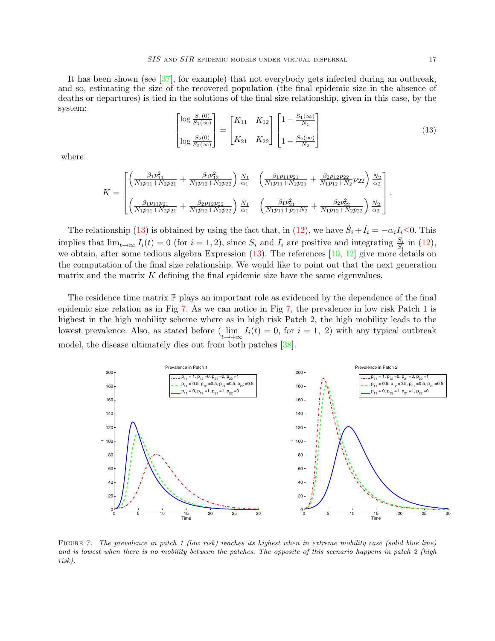It has been shown (see [\[37\]](#page-24-14), for example) that not everybody gets infected during an outbreak, and so, estimating the size of the recovered population (the final epidemic size in the absence of deaths or departures) is tied in the solutions of the final size relationship, given in this case, by the system:

<span id="page-17-0"></span>
$$
\begin{bmatrix} \log \frac{S_1(0)}{S_1(\infty)} \\ \log \frac{S_2(0)}{S_2(\infty)} \end{bmatrix} = \begin{bmatrix} K_{11} & K_{12} \\ K_{21} & K_{22} \end{bmatrix} \begin{bmatrix} 1 - \frac{S_1(\infty)}{N_1} \\ 1 - \frac{S_2(\infty)}{N_2} \end{bmatrix}
$$
(13)

where

$$
K = \begin{bmatrix} \left(\frac{\beta_1 p_{11}^2}{N_1 p_{11} + N_2 p_{21}} + \frac{\beta_2 p_{12}^2}{N_1 p_{12} + N_2 p_{22}}\right) \frac{N_1}{\alpha_1} & \left(\frac{\beta_1 p_{11} p_{21}}{N_1 p_{11} + N_2 p_{21}} + \frac{\beta_2 p_{12} p_{22}}{N_1 p_{12} + N_2} p_{22}\right) \frac{N_2}{\alpha_2} \\ \left(\frac{\beta_1 p_{11} p_{21}}{N_1 p_{11} + N_2 p_{21}} + \frac{\beta_2 p_{12} p_{22}}{N_1 p_{12} + N_2 p_{22}}\right) \frac{N_1}{\alpha_1} & \left(\frac{\beta_1 p_{21}^2}{N_1 p_{11} + p_{21} N_2} + \frac{\beta_2 p_{22}^2}{N_1 p_{12} + N_2 p_{22}}\right) \frac{N_2}{\alpha_2} \end{bmatrix}.
$$

The relationship [\(13\)](#page-17-0) is obtained by using the fact that, in [\(12\)](#page-16-2), we have  $\dot{S}_i + \dot{I}_i = -\alpha_i I_i \leq 0$ . This implies that  $\lim_{t\to\infty} I_i(t) = 0$  (for  $i = 1, 2$ ), since  $S_i$  and  $I_i$  are positive and integrating  $\frac{S_i}{S_i}$  in [\(12\)](#page-16-2), we obtain, after some tedious algebra Expression [\(13\)](#page-17-0). The references [\[10,](#page-23-7) [12\]](#page-23-17) give more details on the computation of the final size relationship. We would like to point out that the next generation matrix and the matrix  $K$  defining the final epidemic size have the same eigenvalues.

The residence time matrix  $\mathbb P$  plays an important role as evidenced by the dependence of the final epidemic size relation as in Fig [7.](#page-17-1) As we can notice in Fig [7,](#page-17-1) the prevalence in low risk Patch 1 is highest in the high mobility scheme where as in high risk Patch 2, the high mobility leads to the lowest prevalence. Also, as stated before  $(\lim_{t\to+\infty} I_i(t) = 0$ , for  $i = 1, 2)$  with any typical outbreak model, the disease ultimately dies out from both patches [\[38\]](#page-24-7).



<span id="page-17-1"></span>FIGURE 7. The prevalence in patch 1 (low risk) reaches its highest when in extreme mobility case (solid blue line) and is lowest when there is no mobility between the patches. The opposite of this scenario happens in patch 2 (high risk).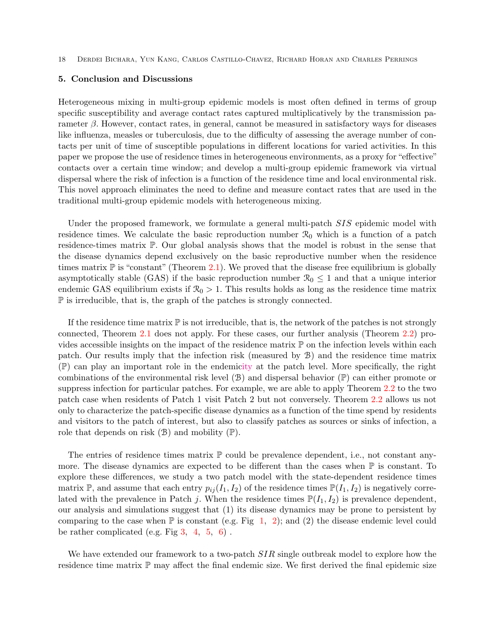# <span id="page-18-0"></span>5. Conclusion and Discussions

Heterogeneous mixing in multi-group epidemic models is most often defined in terms of group specific susceptibility and average contact rates captured multiplicatively by the transmission parameter  $\beta$ . However, contact rates, in general, cannot be measured in satisfactory ways for diseases like influenza, measles or tuberculosis, due to the difficulty of assessing the average number of contacts per unit of time of susceptible populations in different locations for varied activities. In this paper we propose the use of residence times in heterogeneous environments, as a proxy for "effective" contacts over a certain time window; and develop a multi-group epidemic framework via virtual dispersal where the risk of infection is a function of the residence time and local environmental risk. This novel approach eliminates the need to define and measure contact rates that are used in the traditional multi-group epidemic models with heterogeneous mixing.

Under the proposed framework, we formulate a general multi-patch *SIS* epidemic model with residence times. We calculate the basic reproduction number  $\mathcal{R}_0$  which is a function of a patch residence-times matrix P. Our global analysis shows that the model is robust in the sense that the disease dynamics depend exclusively on the basic reproductive number when the residence times matrix  $\mathbb P$  is "constant" (Theorem [2.1\)](#page-7-0). We proved that the disease free equilibrium is globally asymptotically stable (GAS) if the basic reproduction number  $\mathcal{R}_0 \leq 1$  and that a unique interior endemic GAS equilibrium exists if  $\mathcal{R}_0 > 1$ . This results holds as long as the residence time matrix P is irreducible, that is, the graph of the patches is strongly connected.

If the residence time matrix  $\mathbb P$  is not irreducible, that is, the network of the patches is not strongly connected, Theorem [2.1](#page-7-0) does not apply. For these cases, our further analysis (Theorem [2.2\)](#page-7-1) provides accessible insights on the impact of the residence matrix  $\mathbb P$  on the infection levels within each patch. Our results imply that the infection risk (measured by B) and the residence time matrix (P) can play an important role in the endemicity at the patch level. More specifically, the right combinations of the environmental risk level  $(\mathcal{B})$  and dispersal behavior  $(\mathbb{P})$  can either promote or suppress infection for particular patches. For example, we are able to apply Theorem [2.2](#page-7-1) to the two patch case when residents of Patch 1 visit Patch 2 but not conversely. Theorem [2.2](#page-7-1) allows us not only to characterize the patch-specific disease dynamics as a function of the time spend by residents and visitors to the patch of interest, but also to classify patches as sources or sinks of infection, a role that depends on risk  $(\mathcal{B})$  and mobility  $(\mathbb{P})$ .

The entries of residence times matrix  $\mathbb P$  could be prevalence dependent, i.e., not constant anymore. The disease dynamics are expected to be different than the cases when  $\mathbb P$  is constant. To explore these differences, we study a two patch model with the state-dependent residence times matrix  $\mathbb{P}$ , and assume that each entry  $p_{ij}(I_1, I_2)$  of the residence times  $\mathbb{P}(I_1, I_2)$  is negatively correlated with the prevalence in Patch j. When the residence times  $\mathbb{P}(I_1, I_2)$  is prevalence dependent, our analysis and simulations suggest that (1) its disease dynamics may be prone to persistent by comparing to the case when  $\mathbb P$  is constant (e.g. Fig [1,](#page-13-3) [2\)](#page-13-2); and (2) the disease endemic level could be rather complicated (e.g. Fig  $3, 4, 5, 6$  $3, 4, 5, 6$  $3, 4, 5, 6$  $3, 4, 5, 6$  $3, 4, 5, 6$  $3, 4, 5, 6$ ).

We have extended our framework to a two-patch  $SIR$  single outbreak model to explore how the residence time matrix  $\mathbb P$  may affect the final endemic size. We first derived the final epidemic size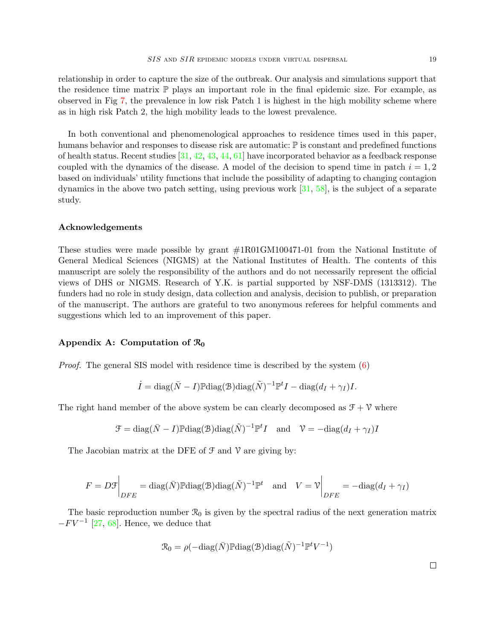as in high risk Patch 2, the high mobility leads to the lowest prevalence.

In both conventional and phenomenological approaches to residence times used in this paper, humans behavior and responses to disease risk are automatic:  $\mathbb P$  is constant and predefined functions of health status. Recent studies [\[31,](#page-24-15) [42,](#page-24-16) [43,](#page-24-17) [44,](#page-24-18) [61\]](#page-25-17) have incorporated behavior as a feedback response coupled with the dynamics of the disease. A model of the decision to spend time in patch  $i = 1, 2$ based on individuals' utility functions that include the possibility of adapting to changing contagion dynamics in the above two patch setting, using previous work [\[31,](#page-24-15) [58\]](#page-25-18), is the subject of a separate study.

# Acknowledgements

These studies were made possible by grant #1R01GM100471-01 from the National Institute of General Medical Sciences (NIGMS) at the National Institutes of Health. The contents of this manuscript are solely the responsibility of the authors and do not necessarily represent the official views of DHS or NIGMS. Research of Y.K. is partial supported by NSF-DMS (1313312). The funders had no role in study design, data collection and analysis, decision to publish, or preparation of the manuscript. The authors are grateful to two anonymous referees for helpful comments and suggestions which led to an improvement of this paper.

#### <span id="page-19-0"></span>Appendix A: Computation of  $\mathcal{R}_0$

Proof. The general SIS model with residence time is described by the system [\(6\)](#page-6-0)

$$
\dot{I} = \text{diag}(\bar{N} - I) \mathbb{P} \text{diag}(\bar{B}) \text{diag}(\tilde{N})^{-1} \mathbb{P}^{t} I - \text{diag}(d_{I} + \gamma_{I}) I.
$$

The right hand member of the above system be can clearly decomposed as  $\mathcal{F} + \mathcal{V}$  where

$$
\mathcal{F} = \text{diag}(\bar{N} - I) \mathbb{P} \text{diag}(\mathcal{B}) \text{diag}(\tilde{N})^{-1} \mathbb{P}^{t} I \quad \text{and} \quad \mathcal{V} = -\text{diag}(d_{I} + \gamma_{I}) I
$$

The Jacobian matrix at the DFE of  $\mathcal F$  and  $\mathcal V$  are giving by:

$$
F = D\mathcal{F}\bigg|_{DFE} = \text{diag}(\bar{N}) \mathbb{P} \text{diag}(\mathcal{B}) \text{diag}(\tilde{N})^{-1} \mathbb{P}^t \quad \text{and} \quad V = \mathcal{V}\bigg|_{DFE} = -\text{diag}(d_I + \gamma_I)
$$

The basic reproduction number  $\mathcal{R}_0$  is given by the spectral radius of the next generation matrix  $-FV^{-1}$  [\[27,](#page-23-14) [68\]](#page-26-3). Hence, we deduce that

$$
\mathcal{R}_0 = \rho(-\text{diag}(\bar{N})\mathbb{P}\text{diag}(\mathcal{B})\text{diag}(\tilde{N})^{-1}\mathbb{P}^t V^{-1})
$$

 $\Box$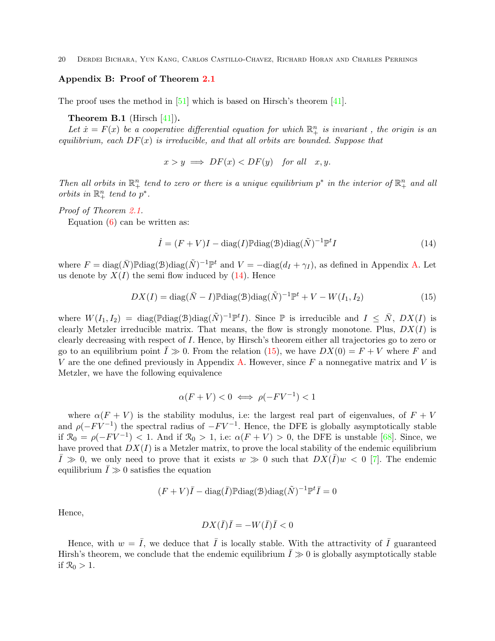# <span id="page-20-0"></span>Appendix B: Proof of Theorem [2.1](#page-7-0)

The proof uses the method in [\[51\]](#page-25-14) which is based on Hirsch's theorem [\[41\]](#page-24-19).

## **Theorem B.1** (Hirsch  $[41]$ ).

Let  $\dot{x} = F(x)$  be a cooperative differential equation for which  $\mathbb{R}^n_+$  is invariant, the origin is an equilibrium, each  $DF(x)$  is irreducible, and that all orbits are bounded. Suppose that

$$
x > y \implies DF(x) < DF(y) \quad \text{for all} \quad x, y.
$$

Then all orbits in  $\mathbb{R}^n_+$  tend to zero or there is a unique equilibrium  $p^*$  in the interior of  $\mathbb{R}^n_+$  and all orbits in  $\mathbb{R}^n_+$  tend to  $p^*$ .

## Proof of Theorem [2.1.](#page-7-0)

Equation  $(6)$  can be written as:

<span id="page-20-1"></span>
$$
\dot{I} = (F + V)I - \text{diag}(I)\mathbb{P}\text{diag}(\mathcal{B})\text{diag}(\tilde{N})^{-1}\mathbb{P}^t I
$$
\n(14)

where  $F = \text{diag}(\bar{N}) \mathbb{P} \text{diag}(\mathcal{B}) \text{diag}(\tilde{N})^{-1} \mathbb{P}^t$  and  $V = -\text{diag}(d_I + \gamma_I)$ , as defined in Appendix [A.](#page-19-0) Let us denote by  $X(I)$  the semi flow induced by  $(14)$ . Hence

<span id="page-20-2"></span>
$$
DX(I) = diag(\bar{N} - I)\mathbb{P}diag(\bar{D})diag(\tilde{N})^{-1}\mathbb{P}^{t} + V - W(I_1, I_2)
$$
\n(15)

where  $W(I_1, I_2) = \text{diag}(\mathbb{P} \text{diag}(\mathcal{B}) \text{diag}(\tilde{N})^{-1} \mathbb{P}^t I)$ . Since  $\mathbb{P}$  is irreducible and  $I \leq \bar{N}$ ,  $DX(I)$  is clearly Metzler irreducible matrix. That means, the flow is strongly monotone. Plus,  $DX(I)$  is clearly decreasing with respect of I. Hence, by Hirsch's theorem either all trajectories go to zero or go to an equilibrium point  $\overline{I} \gg 0$ . From the relation [\(15\)](#page-20-2), we have  $DX(0) = F + V$  where F and V are the one defined previously in Appendix [A.](#page-19-0) However, since F a nonnegative matrix and V is Metzler, we have the following equivalence

$$
\alpha(F+V) < 0 \iff \rho(-FV^{-1}) < 1
$$

where  $\alpha(F + V)$  is the stability modulus, i.e: the largest real part of eigenvalues, of  $F + V$ and  $\rho(-FV^{-1})$  the spectral radius of  $-FV^{-1}$ . Hence, the DFE is globally asymptotically stable if  $\mathcal{R}_0 = \rho(-FV^{-1}) < 1$ . And if  $\mathcal{R}_0 > 1$ , i.e:  $\alpha(F+V) > 0$ , the DFE is unstable [\[68\]](#page-26-3). Since, we have proved that  $DX(I)$  is a Metzler matrix, to prove the local stability of the endemic equilibrium  $\bar{I} \gg 0$ , we only need to prove that it exists  $w \gg 0$  such that  $DX(\bar{I})w < 0$  [\[7\]](#page-22-8). The endemic equilibrium  $I \gg 0$  satisfies the equation

$$
(F+V)\overline{I} - \text{diag}(\overline{I})\mathbb{P}\text{diag}(\mathcal{B})\text{diag}(\tilde{N})^{-1}\mathbb{P}^t\overline{I} = 0
$$

Hence,

$$
DX(\bar{I})\bar{I} = -W(\bar{I})\bar{I} < 0
$$

Hence, with  $w = \overline{I}$ , we deduce that  $\overline{I}$  is locally stable. With the attractivity of  $\overline{I}$  guaranteed Hirsh's theorem, we conclude that the endemic equilibrium  $\overline{I} \gg 0$  is globally asymptotically stable if  $\mathcal{R}_0 > 1$ .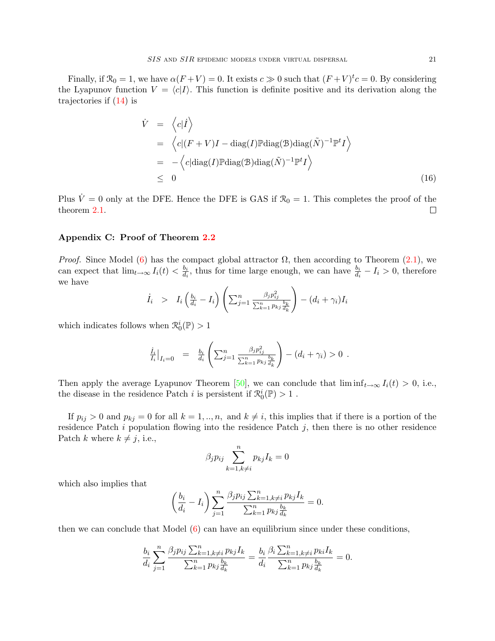Finally, if  $\mathcal{R}_0 = 1$ , we have  $\alpha(F+V) = 0$ . It exists  $c \gg 0$  such that  $(F+V)^t c = 0$ . By considering the Lyapunov function  $V = \langle c|I \rangle$ . This function is definite positive and its derivation along the trajectories if [\(14\)](#page-20-1) is

$$
\dot{V} = \langle c|\dot{I}\rangle
$$
\n
$$
= \langle c|(F+V)I - \text{diag}(I)\mathbb{P}\text{diag}(\mathfrak{B})\text{diag}(\tilde{N})^{-1}\mathbb{P}^{t}I\rangle
$$
\n
$$
= -\langle c|\text{diag}(I)\mathbb{P}\text{diag}(\mathfrak{B})\text{diag}(\tilde{N})^{-1}\mathbb{P}^{t}I\rangle
$$
\n
$$
\leq 0
$$
\n(16)

Plus  $\dot{V} = 0$  only at the DFE. Hence the DFE is GAS if  $\mathcal{R}_0 = 1$ . This completes the proof of the theorem [2.1.](#page-7-0)  $\Box$ 

#### <span id="page-21-0"></span>Appendix C: Proof of Theorem [2.2](#page-7-1)

*Proof.* Since Model [\(6\)](#page-6-0) has the compact global attractor  $\Omega$ , then according to Theorem [\(2.1\)](#page-7-0), we can expect that  $\lim_{t\to\infty} I_i(t) < \frac{b_i}{d_i}$  $\frac{b_i}{d_i}$ , thus for time large enough, we can have  $\frac{b_i}{d_i} - I_i > 0$ , therefore we have

$$
\dot{I}_i > I_i \left( \frac{b_i}{d_i} - I_i \right) \left( \sum_{j=1}^n \frac{\beta_j p_{ij}^2}{\sum_{k=1}^n p_{kj} \frac{b_k}{d_k}} \right) - (d_i + \gamma_i) I_i
$$

which indicates follows when  $\mathcal{R}_0^i(\mathbb{P}) > 1$ 

$$
\frac{\dot{I}_i}{I_i}\big|_{I_i=0} = \frac{b_i}{d_i} \left( \sum_{j=1}^n \frac{\beta_j p_{ij}^2}{\sum_{k=1}^n p_{kj} \frac{b_k}{d_k}} \right) - (d_i + \gamma_i) > 0.
$$

Then apply the average Lyapunov Theorem [\[50\]](#page-25-19), we can conclude that  $\liminf_{t\to\infty} I_i(t) > 0$ , i.e., the disease in the residence Patch  $i$  is persistent if  $\mathcal{R}_0^i(\mathbb{P}) > 1$  .

If  $p_{ij} > 0$  and  $p_{kj} = 0$  for all  $k = 1, ..., n$ , and  $k \neq i$ , this implies that if there is a portion of the residence Patch  $i$  population flowing into the residence Patch  $j$ , then there is no other residence Patch k where  $k \neq j$ , i.e.,

$$
\beta_j p_{ij} \sum_{k=1, k \neq i}^n p_{kj} I_k = 0
$$

which also implies that

$$
\left(\frac{b_i}{d_i} - I_i\right) \sum_{j=1}^n \frac{\beta_j p_{ij} \sum_{k=1, k \neq i}^n p_{kj} I_k}{\sum_{k=1}^n p_{kj} \frac{b_k}{d_k}} = 0.
$$

then we can conclude that Model [\(6\)](#page-6-0) can have an equilibrium since under these conditions,

$$
\frac{b_i}{d_i} \sum_{j=1}^n \frac{\beta_j p_{ij} \sum_{k=1, k \neq i}^n p_{kj} I_k}{\sum_{k=1}^n p_{kj} \frac{b_k}{d_k}} = \frac{b_i}{d_i} \frac{\beta_i \sum_{k=1, k \neq i}^n p_{ki} I_k}{\sum_{k=1}^n p_{kj} \frac{b_k}{d_k}} = 0.
$$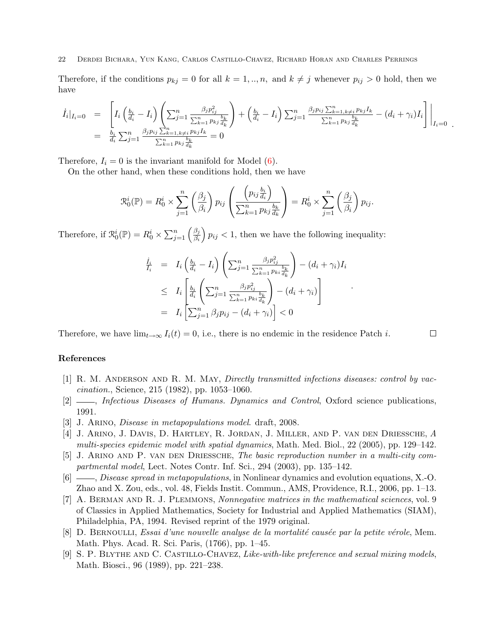Therefore, if the conditions  $p_{kj} = 0$  for all  $k = 1, ..., n$ , and  $k \neq j$  whenever  $p_{ij} > 0$  hold, then we have

$$
\begin{array}{rcl}\n\dot{I}_i|_{I_i=0} &=& \left[I_i\left(\frac{b_i}{d_i}-I_i\right)\left(\sum_{j=1}^n\frac{\beta_jp_{ij}^2}{\sum_{k=1}^np_{kj}\frac{b_k}{d_k}}\right)+\left(\frac{b_i}{d_i}-I_i\right)\sum_{j=1}^n\frac{\beta_jp_{ij}\sum_{k=1,k\neq i}^np_{kj}I_k}{\sum_{k=1}^np_{kj}\frac{b_k}{d_k}}-(d_i+\gamma_i)I_i\right]\right|_{I_i=0} \\
&=& \frac{b_i}{d_i}\sum_{j=1}^n\frac{\beta_jp_{ij}\sum_{k=1,k\neq i}^n p_{kj}I_k}{\sum_{k=1}^np_{kj}\frac{b_k}{d_k}}=0\n\end{array}
$$

Therefore,  $I_i = 0$  is the invariant manifold for Model  $(6)$ .

On the other hand, when these conditions hold, then we have

$$
\mathcal{R}_0^i(\mathbb{P}) = R_0^i \times \sum_{j=1}^n \left(\frac{\beta_j}{\beta_i}\right) p_{ij} \left(\frac{\left(p_{ij}\frac{b_i}{d_i}\right)}{\sum_{k=1}^n p_{kj}\frac{b_k}{d_k}}\right) = R_0^i \times \sum_{j=1}^n \left(\frac{\beta_j}{\beta_i}\right) p_{ij}.
$$

Therefore, if  $\mathcal{R}_0^i(\mathbb{P}) = R_0^i \times \sum_{j=1}^n \left( \frac{\beta_j}{\beta_i} \right)$  $\overline{\beta_i}$  $\left( p_{ij} \leq 1, \text{ then we have the following inequality:} \right)$ 

$$
\frac{\dot{I}_i}{I_i} = I_i \left( \frac{b_i}{d_i} - I_i \right) \left( \sum_{j=1}^n \frac{\beta_j p_{ij}^2}{\sum_{k=1}^n p_{ki} \frac{b_k}{d_k}} \right) - (d_i + \gamma_i) I_i
$$
\n
$$
\leq I_i \left[ \frac{b_i}{d_i} \left( \sum_{j=1}^n \frac{\beta_j p_{ij}^2}{\sum_{k=1}^n p_{ki} \frac{b_k}{d_k}} \right) - (d_i + \gamma_i) \right]
$$
\n
$$
= I_i \left[ \sum_{j=1}^n \beta_j p_{ij} - (d_i + \gamma_i) \right] < 0
$$

.

 $\Box$ 

Therefore, we have  $\lim_{t\to\infty} I_i(t) = 0$ , i.e., there is no endemic in the residence Patch i.

#### References

- <span id="page-22-2"></span>[1] R. M. Anderson and R. M. May, Directly transmitted infections diseases: control by vaccination., Science, 215 (1982), pp. 1053–1060.
- <span id="page-22-3"></span>[2]  $\_\_\_\_\$  Infectious Diseases of Humans. Dynamics and Control, Oxford science publications, 1991.
- <span id="page-22-5"></span>[3] J. Arino, Disease in metapopulations model. draft, 2008.
- <span id="page-22-6"></span>[4] J. Arino, J. Davis, D. Hartley, R. Jordan, J. Miller, and P. van den Driessche, A multi-species epidemic model with spatial dynamics, Math. Med. Biol., 22 (2005), pp. 129–142.
- <span id="page-22-4"></span>[5] J. Arino and P. van den Driessche, The basic reproduction number in a multi-city compartmental model, Lect. Notes Contr. Inf. Sci., 294 (2003), pp. 135–142.
- <span id="page-22-7"></span> $[6]$  , Disease spread in metapopulations, in Nonlinear dynamics and evolution equations, X.-O. Zhao and X. Zou, eds., vol. 48, Fields Instit. Commun., AMS, Providence, R.I., 2006, pp. 1–13.
- <span id="page-22-8"></span>[7] A. Berman and R. J. Plemmons, Nonnegative matrices in the mathematical sciences, vol. 9 of Classics in Applied Mathematics, Society for Industrial and Applied Mathematics (SIAM), Philadelphia, PA, 1994. Revised reprint of the 1979 original.
- <span id="page-22-0"></span>[8] D. BERNOULLI, Essai d'une nouvelle analyse de la mortalité causée par la petite vérole, Mem. Math. Phys. Acad. R. Sci. Paris, (1766), pp. 1–45.
- <span id="page-22-1"></span>[9] S. P. Blythe and C. Castillo-Chavez, Like-with-like preference and sexual mixing models, Math. Biosci., 96 (1989), pp. 221–238.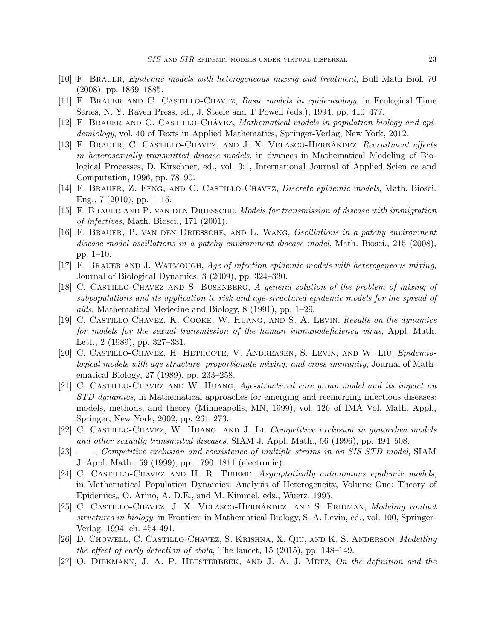- <span id="page-23-7"></span>[10] F. Brauer, Epidemic models with heterogeneous mixing and treatment, Bull Math Biol, 70 (2008), pp. 1869–1885.
- <span id="page-23-8"></span>[11] F. Brauer and C. Castillo-Chavez, Basic models in epidemiology, in Ecological Time Series, N. Y. Raven Press, ed., J. Steele and T Powell (eds.), 1994, pp. 410–477.
- <span id="page-23-17"></span>[12] F. BRAUER AND C. CASTILLO-CHÁVEZ, Mathematical models in population biology and epidemiology, vol. 40 of Texts in Applied Mathematics, Springer-Verlag, New York, 2012.
- <span id="page-23-9"></span>[13] F. BRAUER, C. CASTILLO-CHAVEZ, AND J. X. VELASCO-HERNÁNDEZ, Recruitment effects in heterosexually transmitted disease models, in dvances in Mathematical Modeling of Biological Processes, D. Kirschner, ed., vol. 3:1, International Journal of Applied Scien ce and Computation, 1996, pp. 78–90.
- <span id="page-23-15"></span>[14] F. Brauer, Z. Feng, and C. Castillo-Chavez, Discrete epidemic models, Math. Biosci. Eng., 7 (2010), pp. 1–15.
- <span id="page-23-10"></span>[15] F. Brauer and P. van den Driessche, Models for transmission of disease with immigration of infectives, Math. Biosci., 171 (2001).
- <span id="page-23-12"></span>[16] F. Brauer, P. van den Driessche, and L. Wang, Oscillations in a patchy environment disease model oscillations in a patchy environment disease model, Math. Biosci., 215 (2008), pp. 1–10.
- <span id="page-23-11"></span>[17] F. Brauer and J. Watmough, Age of infection epidemic models with heterogeneous mixing, Journal of Biological Dynamics, 3 (2009), pp. 324–330.
- <span id="page-23-0"></span>[18] C. Castillo-Chavez and S. Busenberg, A general solution of the problem of mixing of subpopulations and its application to risk-and age-structured epidemic models for the spread of aids, Mathematical Medecine and Biology, 8 (1991), pp. 1–29.
- <span id="page-23-4"></span>[19] C. Castillo-Chavez, K. Cooke, W. Huang, and S. A. Levin, Results on the dynamics for models for the sexual transmission of the human immunodeficiency virus, Appl. Math. Lett., 2 (1989), pp. 327–331.
- <span id="page-23-6"></span>[20] C. Castillo-Chavez, H. Hethcote, V. Andreasen, S. Levin, and W. Liu, Epidemiological models with age structure, proportionate mixing, and cross-immunity, Journal of Mathematical Biology, 27 (1989), pp. 233–258.
- <span id="page-23-1"></span>[21] C. Castillo-Chavez and W. Huang, Age-structured core group model and its impact on STD dynamics, in Mathematical approaches for emerging and reemerging infectious diseases: models, methods, and theory (Minneapolis, MN, 1999), vol. 126 of IMA Vol. Math. Appl., Springer, New York, 2002, pp. 261–273.
- <span id="page-23-3"></span>[22] C. Castillo-Chavez, W. Huang, and J. Li, Competitive exclusion in gonorrhea models and other sexually transmitted diseases, SIAM J. Appl. Math., 56 (1996), pp. 494–508.
- <span id="page-23-2"></span>[23] , Competitive exclusion and coexistence of multiple strains in an SIS STD model, SIAM J. Appl. Math., 59 (1999), pp. 1790–1811 (electronic).
- <span id="page-23-13"></span>[24] C. CASTILLO-CHAVEZ AND H. R. THIEME, Asymptotically autonomous epidemic models, in Mathematical Population Dynamics: Analysis of Heterogeneity, Volume One: Theory of Epidemics, O. Arino, A. D.E., and M. Kimmel, eds., Wuerz, 1995.
- <span id="page-23-5"></span>[25] C. CASTILLO-CHAVEZ, J. X. VELASCO-HERNÁNDEZ, AND S. FRIDMAN, Modeling contact structures in biology, in Frontiers in Mathematical Biology, S. A. Levin, ed., vol. 100, Springer-Verlag, 1994, ch. 454-491.
- <span id="page-23-16"></span>[26] D. Chowell, C. Castillo-Chavez, S. Krishna, X. Qiu, and K. S. Anderson, Modelling the effect of early detection of ebola, The lancet, 15 (2015), pp. 148–149.
- <span id="page-23-14"></span>[27] O. DIEKMANN, J. A. P. HEESTERBEEK, AND J. A. J. METZ, On the definition and the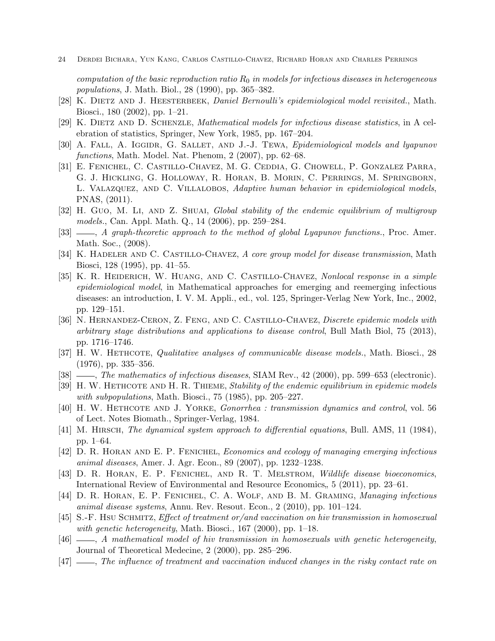computation of the basic reproduction ratio  $R_0$  in models for infectious diseases in heterogeneous populations, J. Math. Biol., 28 (1990), pp. 365–382.

- <span id="page-24-0"></span>[28] K. DIETZ AND J. HEESTERBEEK, Daniel Bernoulli's epidemiological model revisited., Math. Biosci., 180 (2002), pp. 1–21.
- <span id="page-24-6"></span>[29] K. DIETZ AND D. SCHENZLE, *Mathematical models for infectious disease statistics*, in A celebration of statistics, Springer, New York, 1985, pp. 167–204.
- <span id="page-24-9"></span>[30] A. FALL, A. IGGIDR, G. SALLET, AND J.-J. TEWA, *Epidemiological models and lyapunov* functions, Math. Model. Nat. Phenom, 2 (2007), pp. 62–68.
- <span id="page-24-15"></span>[31] E. Fenichel, C. Castillo-Chavez, M. G. Ceddia, G. Chowell, P. Gonzalez Parra, G. J. Hickling, G. Holloway, R. Horan, B. Morin, C. Perrings, M. Springborn, L. Valazquez, and C. Villalobos, Adaptive human behavior in epidemiological models, PNAS, (2011).
- <span id="page-24-11"></span>[32] H. Guo, M. Li, AND Z. SHUAI, Global stability of the endemic equilibrium of multigroup models., Can. Appl. Math. Q., 14 (2006), pp. 259–284.
- <span id="page-24-12"></span> $[33]$  , A graph-theoretic approach to the method of global Lyapunov functions., Proc. Amer. Math. Soc., (2008).
- <span id="page-24-1"></span>[34] K. HADELER AND C. CASTILLO-CHAVEZ, A core group model for disease transmission, Math Biosci, 128 (1995), pp. 41–55.
- <span id="page-24-8"></span>[35] K. R. HEIDERICH, W. HUANG, AND C. CASTILLO-CHAVEZ, Nonlocal response in a simple epidemiological model, in Mathematical approaches for emerging and reemerging infectious diseases: an introduction, I. V. M. Appli., ed., vol. 125, Springer-Verlag New York, Inc., 2002, pp. 129–151.
- <span id="page-24-13"></span>[36] N. HERNANDEZ-CERON, Z. FENG, AND C. CASTILLO-CHAVEZ, Discrete epidemic models with arbitrary stage distributions and applications to disease control, Bull Math Biol, 75 (2013), pp. 1716–1746.
- <span id="page-24-14"></span>[37] H. W. HETHCOTE, *Qualitative analyses of communicable disease models.*, Math. Biosci., 28 (1976), pp. 335–356.
- <span id="page-24-7"></span>[38] , The mathematics of infectious diseases, SIAM Rev., 42 (2000), pp. 599–653 (electronic).
- <span id="page-24-10"></span>[39] H. W. HETHCOTE AND H. R. THIEME, Stability of the endemic equilibrium in epidemic models with subpopulations, Math. Biosci., 75 (1985), pp. 205–227.
- <span id="page-24-2"></span>[40] H. W. Hethcote and J. Yorke, Gonorrhea : transmission dynamics and control, vol. 56 of Lect. Notes Biomath., Springer-Verlag, 1984.
- <span id="page-24-19"></span>[41] M. HIRSCH, The dynamical system approach to differential equations, Bull. AMS, 11 (1984), pp. 1–64.
- <span id="page-24-16"></span>[42] D. R. Horan and E. P. Fenichel, Economics and ecology of managing emerging infectious animal diseases, Amer. J. Agr. Econ., 89 (2007), pp. 1232–1238.
- <span id="page-24-17"></span>[43] D. R. HORAN, E. P. FENICHEL, AND R. T. MELSTROM, Wildlife disease bioeconomics, International Review of Environmental and Resource Economics, 5 (2011), pp. 23–61.<br>D. B. Hansus E. D. Fruggers, G. A. Warn, the P. M. Grapes M.
- <span id="page-24-18"></span>[44] D. R. Horan, E. P. Fenichel, C. A. Wolf, and B. M. Graming, Managing infectious animal disease systems, Annu. Rev. Resout. Econ., 2 (2010), pp. 101–124.
- <span id="page-24-3"></span>[45] S.-F. Hsu Schmitz, Effect of treatment or/and vaccination on hiv transmission in homosexual with genetic heterogeneity, Math. Biosci.,  $167$  (2000), pp. 1–18.
- <span id="page-24-4"></span> $[46]$  , A mathematical model of hiv transmission in homosexuals with genetic heterogeneity, Journal of Theoretical Medecine, 2 (2000), pp. 285–296.
- <span id="page-24-5"></span>[47]  $\ldots$ , The influence of treatment and vaccination induced changes in the risky contact rate on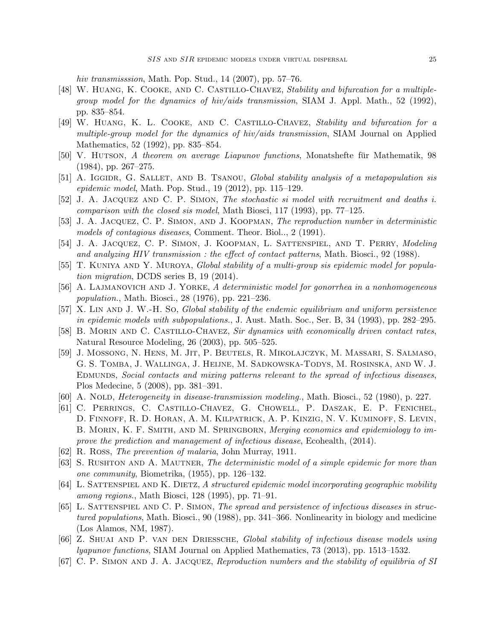hiv transmisssion, Math. Pop. Stud., 14 (2007), pp. 57–76.

- <span id="page-25-2"></span>[48] W. Huang, K. Cooke, and C. Castillo-Chavez, Stability and bifurcation for a multiplegroup model for the dynamics of hiv/aids transmission, SIAM J. Appl. Math., 52 (1992), pp. 835–854.
- <span id="page-25-6"></span>[49] W. Huang, K. L. Cooke, and C. Castillo-Chavez, Stability and bifurcation for a multiple-group model for the dynamics of hiv/aids transmission, SIAM Journal on Applied Mathematics, 52 (1992), pp. 835–854.
- <span id="page-25-19"></span>[50] V. HUTSON, A theorem on average Liapunov functions, Monatshefte fur Mathematik, 98 (1984), pp. 267–275.
- <span id="page-25-14"></span>[51] A. IGGIDR, G. SALLET, AND B. TSANOU, Global stability analysis of a metapopulation sis epidemic model, Math. Pop. Stud., 19 (2012), pp. 115–129.
- <span id="page-25-7"></span>[52] J. A. Jacquez and C. P. Simon, The stochastic si model with recruitment and deaths i. comparison with the closed sis model, Math Biosci, 117 (1993), pp. 77–125.
- <span id="page-25-8"></span>[53] J. A. Jacquez, C. P. Simon, and J. Koopman, The reproduction number in deterministic models of contagious diseases, Comment. Theor. Biol.., 2 (1991).
- <span id="page-25-9"></span>[54] J. A. Jacquez, C. P. Simon, J. Koopman, L. Sattenspiel, and T. Perry, Modeling and analyzing HIV transmission : the effect of contact patterns, Math. Biosci., 92 (1988).
- <span id="page-25-15"></span>[55] T. KUNIYA AND Y. MUROYA, Global stability of a multi-group sis epidemic model for population migration, DCDS series B, 19 (2014).
- <span id="page-25-4"></span>[56] A. Lajmanovich and J. Yorke, A deterministic model for gonorrhea in a nonhomogeneous population., Math. Biosci., 28 (1976), pp. 221–236.
- <span id="page-25-10"></span>[57] X. Lin and J. W.-H. So, Global stability of the endemic equilibrium and uniform persistence in epidemic models with subpopulations., J. Aust. Math. Soc., Ser. B, 34 (1993), pp. 282–295.
- <span id="page-25-18"></span>[58] B. MORIN AND C. CASTILLO-CHAVEZ, Sir dynamics with economically driven contact rates, Natural Resource Modeling, 26 (2003), pp. 505–525.
- <span id="page-25-1"></span>[59] J. Mossong, N. Hens, M. Jit, P. Beutels, R. Mikolajczyk, M. Massari, S. Salmaso, G. S. Tomba, J. Wallinga, J. Heijne, M. Sadkowska-Todys, M. Rosinska, and W. J. EDMUNDS, Social contacts and mixing patterns relevant to the spread of infectious diseases, Plos Medecine, 5 (2008), pp. 381–391.
- <span id="page-25-5"></span>[60] A. Nold, *Heterogeneity in disease-transmission modeling.*, Math. Biosci., 52 (1980), p. 227.
- <span id="page-25-17"></span>[61] C. Perrings, C. Castillo-Chavez, G. Chowell, P. Daszak, E. P. Fenichel, D. Finnoff, R. D. Horan, A. M. Kilpatrick, A. P. Kinzig, N. V. Kuminoff, S. Levin, B. MORIN, K. F. SMITH, AND M. SPRINGBORN, *Merging economics and epidemiology to im*prove the prediction and management of infectious disease, Ecohealth, (2014).
- <span id="page-25-0"></span>[62] R. Ross, The prevention of malaria, John Murray, 1911.
- <span id="page-25-3"></span>[63] S. Rushton and A. Mautner, The deterministic model of a simple epidemic for more than one community, Biometrika, (1955), pp. 126–132.
- <span id="page-25-16"></span>[64] L. SATTENSPIEL AND K. DIETZ, A structured epidemic model incorporating geographic mobility among regions., Math Biosci, 128 (1995), pp. 71–91.
- <span id="page-25-11"></span>[65] L. Sattenspiel and C. P. Simon, The spread and persistence of infectious diseases in structured populations, Math. Biosci., 90 (1988), pp. 341–366. Nonlinearity in biology and medicine (Los Alamos, NM, 1987).
- <span id="page-25-13"></span>[66] Z. Shuai and P. van den Driessche, Global stability of infectious disease models using lyapunov functions, SIAM Journal on Applied Mathematics, 73 (2013), pp. 1513–1532.
- <span id="page-25-12"></span>[67] C. P. Simon and J. A. Jacquez, Reproduction numbers and the stability of equilibria of SI